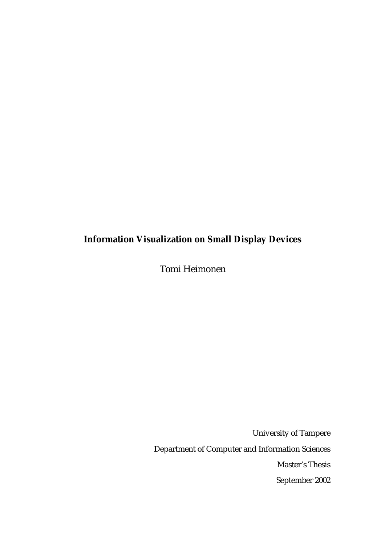# **Information Visualization on Small Display Devices**

Tomi Heimonen

University of Tampere Department of Computer and Information Sciences Master's Thesis September 2002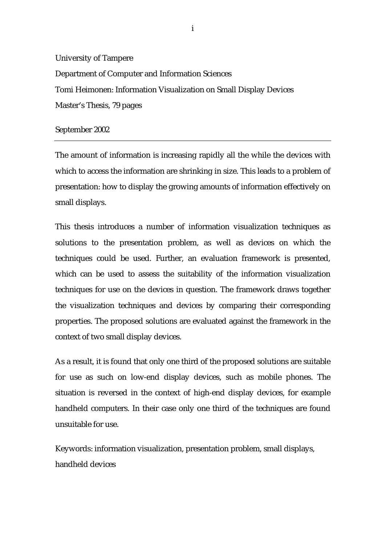University of Tampere Department of Computer and Information Sciences Tomi Heimonen: Information Visualization on Small Display Devices Master's Thesis, 79 pages

#### September 2002

The amount of information is increasing rapidly all the while the devices with which to access the information are shrinking in size. This leads to a problem of presentation: how to display the growing amounts of information effectively on small displays.

This thesis introduces a number of information visualization techniques as solutions to the presentation problem, as well as devices on which the techniques could be used. Further, an evaluation framework is presented, which can be used to assess the suitability of the information visualization techniques for use on the devices in question. The framework draws together the visualization techniques and devices by comparing their corresponding properties. The proposed solutions are evaluated against the framework in the context of two small display devices.

As a result, it is found that only one third of the proposed solutions are suitable for use as such on low-end display devices, such as mobile phones. The situation is reversed in the context of high-end display devices, for example handheld computers. In their case only one third of the techniques are found unsuitable for use.

Keywords: information visualization, presentation problem, small displays, handheld devices

i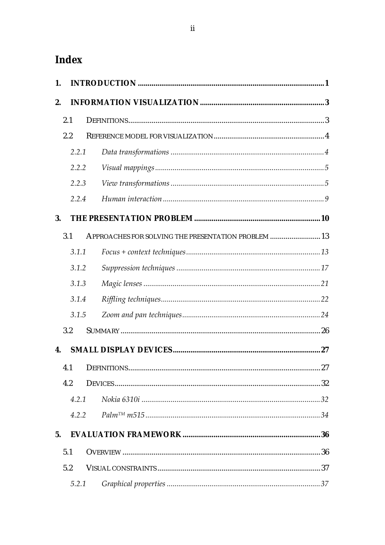# Index

| 1.             |       |  |                                                     |  |  |
|----------------|-------|--|-----------------------------------------------------|--|--|
| 2.             |       |  |                                                     |  |  |
|                | 2.1   |  |                                                     |  |  |
|                | 2.2   |  |                                                     |  |  |
|                | 2.2.1 |  |                                                     |  |  |
|                | 2.2.2 |  |                                                     |  |  |
|                | 2.2.3 |  |                                                     |  |  |
|                | 2.2.4 |  |                                                     |  |  |
| 3.             |       |  |                                                     |  |  |
|                | 3.1   |  | APPROACHES FOR SOLVING THE PRESENTATION PROBLEM  13 |  |  |
|                | 3.1.1 |  |                                                     |  |  |
|                | 3.1.2 |  |                                                     |  |  |
|                | 3.1.3 |  |                                                     |  |  |
|                | 3.1.4 |  |                                                     |  |  |
|                | 3.1.5 |  |                                                     |  |  |
|                | 3.2   |  |                                                     |  |  |
| 4.             |       |  |                                                     |  |  |
|                |       |  |                                                     |  |  |
|                | 4.2   |  |                                                     |  |  |
|                | 4.2.1 |  |                                                     |  |  |
|                | 4.2.2 |  |                                                     |  |  |
| 5 <sub>1</sub> |       |  |                                                     |  |  |
|                | 5.1   |  |                                                     |  |  |
|                | 5.2   |  |                                                     |  |  |
|                | 5.2.1 |  |                                                     |  |  |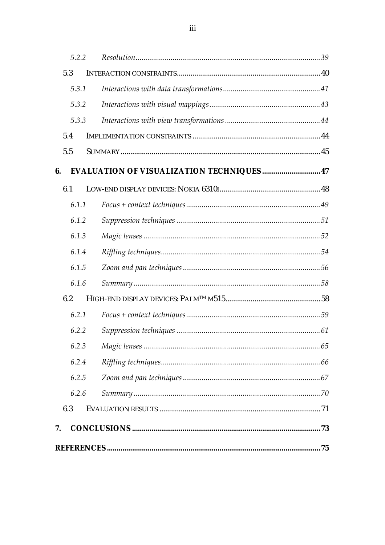|    | 5.2.2 |                                                  |  |
|----|-------|--------------------------------------------------|--|
|    | 5.3   |                                                  |  |
|    | 5.3.1 |                                                  |  |
|    | 5.3.2 |                                                  |  |
|    | 5.3.3 |                                                  |  |
|    | 5.4   |                                                  |  |
|    | 5.5   |                                                  |  |
| 6. |       | <b>EVALUATION OF VISUALIZATION TECHNIQUES 47</b> |  |
|    | 6.1   |                                                  |  |
|    | 6.1.1 |                                                  |  |
|    | 6.1.2 |                                                  |  |
|    | 6.1.3 |                                                  |  |
|    | 6.1.4 |                                                  |  |
|    | 6.1.5 |                                                  |  |
|    | 6.1.6 |                                                  |  |
|    | 6.2   |                                                  |  |
|    | 6.2.1 |                                                  |  |
|    | 6.2.2 |                                                  |  |
|    | 6.2.3 |                                                  |  |
|    | 6.2.4 |                                                  |  |
|    | 6.2.5 |                                                  |  |
|    | 6.2.6 |                                                  |  |
|    | 6.3   |                                                  |  |
| 7. |       |                                                  |  |
|    |       |                                                  |  |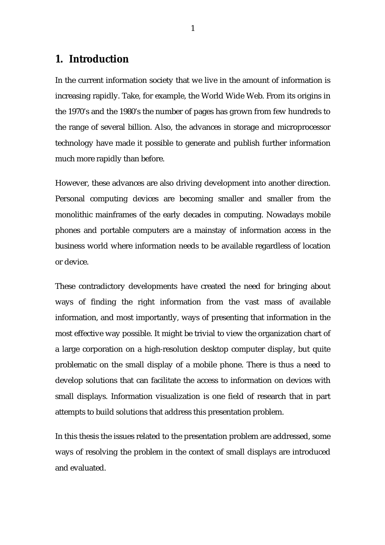# <span id="page-4-0"></span>**1. Introduction**

In the current information society that we live in the amount of information is increasing rapidly. Take, for example, the World Wide Web. From its origins in the 1970's and the 1980's the number of pages has grown from few hundreds to the range of several billion. Also, the advances in storage and microprocessor technology have made it possible to generate and publish further information much more rapidly than before.

However, these advances are also driving development into another direction. Personal computing devices are becoming smaller and smaller from the monolithic mainframes of the early decades in computing. Nowadays mobile phones and portable computers are a mainstay of information access in the business world where information needs to be available regardless of location or device.

These contradictory developments have created the need for bringing about ways of finding the right information from the vast mass of available information, and most importantly, ways of presenting that information in the most effective way possible. It might be trivial to view the organization chart of a large corporation on a high-resolution desktop computer display, but quite problematic on the small display of a mobile phone. There is thus a need to develop solutions that can facilitate the access to information on devices with small displays. Information visualization is one field of research that in part attempts to build solutions that address this presentation problem.

In this thesis the issues related to the presentation problem are addressed, some ways of resolving the problem in the context of small displays are introduced and evaluated.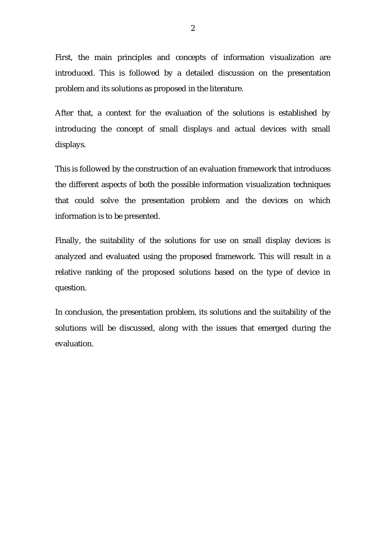First, the main principles and concepts of information visualization are introduced. This is followed by a detailed discussion on the presentation problem and its solutions as proposed in the literature.

After that, a context for the evaluation of the solutions is established by introducing the concept of small displays and actual devices with small displays.

This is followed by the construction of an evaluation framework that introduces the different aspects of both the possible information visualization techniques that could solve the presentation problem and the devices on which information is to be presented.

Finally, the suitability of the solutions for use on small display devices is analyzed and evaluated using the proposed framework. This will result in a relative ranking of the proposed solutions based on the type of device in question.

In conclusion, the presentation problem, its solutions and the suitability of the solutions will be discussed, along with the issues that emerged during the evaluation.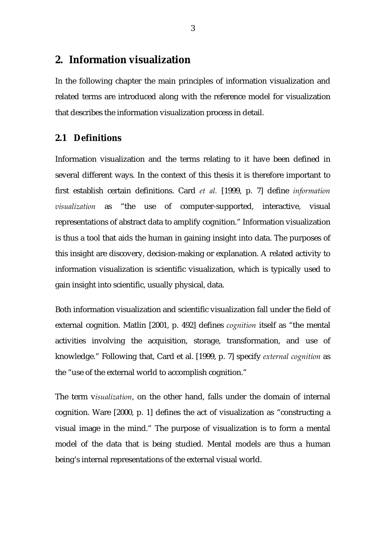# <span id="page-6-0"></span>**2. Information visualization**

In the following chapter the main principles of information visualization and related terms are introduced along with the reference model for visualization that describes the information visualization process in detail.

## **2.1 Definitions**

Information visualization and the terms relating to it have been defined in several different ways. In the context of this thesis it is therefore important to first establish certain definitions. Card *et al.* [1999, p. 7] define *information visualization* as "the use of computer-supported, interactive, visual representations of abstract data to amplify cognition." Information visualization is thus a tool that aids the human in gaining insight into data. The purposes of this insight are discovery, decision-making or explanation. A related activity to information visualization is scientific visualization, which is typically used to gain insight into scientific, usually physical, data.

Both information visualization and scientific visualization fall under the field of external cognition. Matlin [2001, p. 492] defines *cognition* itself as "the mental activities involving the acquisition, storage, transformation, and use of knowledge." Following that, Card et al. [1999, p. 7] specify *external cognition* as the "use of the external world to accomplish cognition."

The term v*isualization*, on the other hand, falls under the domain of internal cognition. Ware [2000, p. 1] defines the act of visualization as "constructing a visual image in the mind." The purpose of visualization is to form a mental model of the data that is being studied. Mental models are thus a human being's internal representations of the external visual world.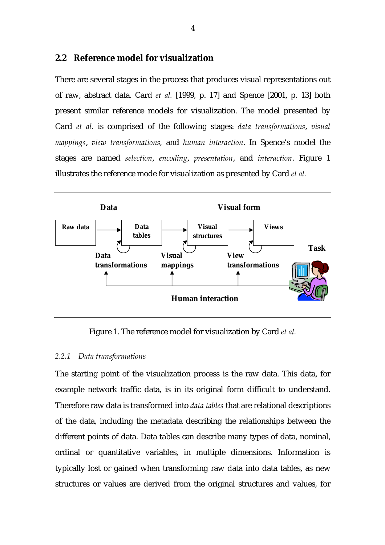## <span id="page-7-0"></span>**2.2 Reference model for visualization**

There are several stages in the process that produces visual representations out of raw, abstract data. Card *et al.* [1999, p. 17] and Spence [2001, p. 13] both present similar reference models for visualization. The model presented by Card *et al.* is comprised of the following stages: *data transformations*, *visual mappings*, *view transformations,* and *human interaction*. In Spence's model the stages are named *selection*, *encoding*, *presentation*, and *interaction*. Figure 1 illustrates the reference mode for visualization as presented by Card *et al.*



Figure 1. The reference model for visualization by Card *et al.*

#### *2.2.1 Data transformations*

The starting point of the visualization process is the raw data. This data, for example network traffic data, is in its original form difficult to understand. Therefore raw data is transformed into *data tables* that are relational descriptions of the data, including the metadata describing the relationships between the different points of data. Data tables can describe many types of data, nominal, ordinal or quantitative variables, in multiple dimensions. Information is typically lost or gained when transforming raw data into data tables, as new structures or values are derived from the original structures and values, for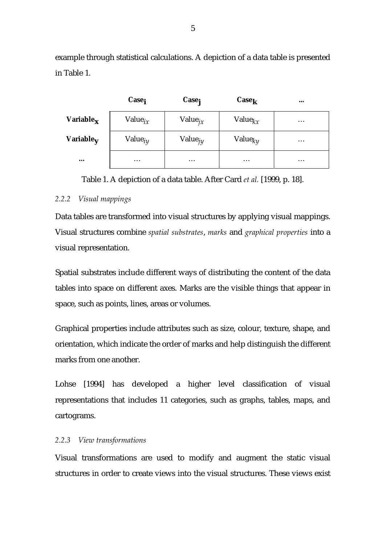<span id="page-8-0"></span>example through statistical calculations. A depiction of a data table is presented in Table 1.

|                          | Case <sub>i</sub>   | Case <sub>j</sub> | $\text{Case}_k$ | $\bullet\bullet\bullet$ |
|--------------------------|---------------------|-------------------|-----------------|-------------------------|
| Variable $_{\bm{x}}$     | Value $_{i\chi}$    | Value $j_{xx}$    | Value $kx$      | $\cdots$                |
| Variable $_{\mathbf{V}}$ | Value <sub>iy</sub> | Value $_{j}$      | Value $k_V$     | $\cdot\cdot\cdot$       |
| $\bullet\bullet\bullet$  | $\cdots$            | $\cdots$          | $\cdots$        | $\cdots$                |

Table 1. A depiction of a data table. After Card *et al.* [1999, p. 18].

## *2.2.2 Visual mappings*

Data tables are transformed into visual structures by applying visual mappings. Visual structures combine *spatial substrates*, *marks* and *graphical properties* into a visual representation.

Spatial substrates include different ways of distributing the content of the data tables into space on different axes. Marks are the visible things that appear in space, such as points, lines, areas or volumes.

Graphical properties include attributes such as size, colour, texture, shape, and orientation, which indicate the order of marks and help distinguish the different marks from one another.

Lohse [1994] has developed a higher level classification of visual representations that includes 11 categories, such as graphs, tables, maps, and cartograms.

## *2.2.3 View transformations*

Visual transformations are used to modify and augment the static visual structures in order to create views into the visual structures. These views exist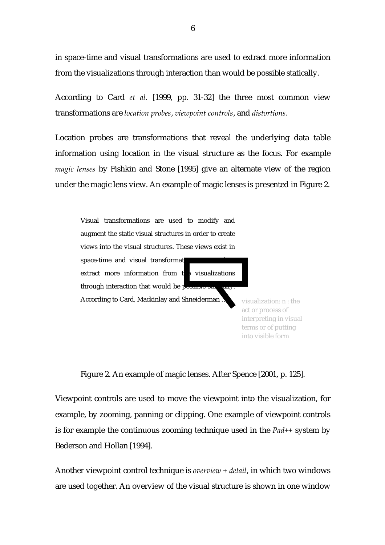in space-time and visual transformations are used to extract more information from the visualizations through interaction than would be possible statically.

According to Card *et al.* [1999, pp. 31-32] the three most common view transformations are *location probes*, *viewpoint controls*, and *distortions*.

Location probes are transformations that reveal the underlying data table information using location in the visual structure as the focus. For example *magic lenses* by Fishkin and Stone [1995] give an alternate view of the region under the magic lens view. An example of magic lenses is presented in Figure 2.





Viewpoint controls are used to move the viewpoint into the visualization, for example, by zooming, panning or clipping. One example of viewpoint controls is for example the continuous zooming technique used in the *Pad++* system by Bederson and Hollan [1994].

Another viewpoint control technique is *overview + detail*, in which two windows are used together. An overview of the visual structure is shown in one window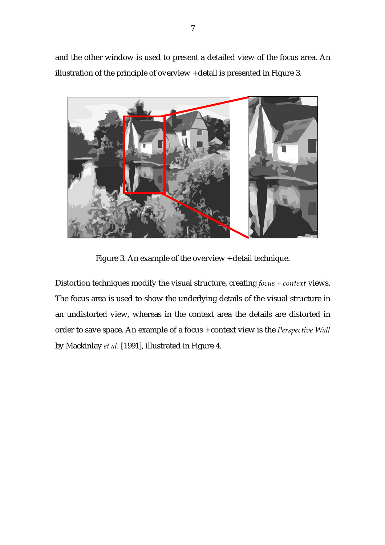and the other window is used to present a detailed view of the focus area. An illustration of the principle of overview + detail is presented in Figure 3.



Figure 3. An example of the overview + detail technique.

Distortion techniques modify the visual structure, creating *focus + context* views. The focus area is used to show the underlying details of the visual structure in an undistorted view, whereas in the context area the details are distorted in order to save space. An example of a focus + context view is the *Perspective Wall* by Mackinlay *et al.* [1991], illustrated in Figure 4.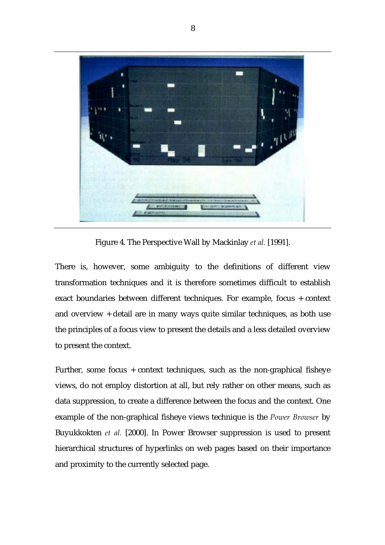

Figure 4. The Perspective Wall by Mackinlay *et al.* [1991].

There is, however, some ambiguity to the definitions of different view transformation techniques and it is therefore sometimes difficult to establish exact boundaries between different techniques. For example, focus + context and overview + detail are in many ways quite similar techniques, as both use the principles of a focus view to present the details and a less detailed overview to present the context.

Further, some focus + context techniques, such as the non-graphical fisheye views, do not employ distortion at all, but rely rather on other means, such as data suppression, to create a difference between the focus and the context. One example of the non-graphical fisheye views technique is the *Power Browser* by Buyukkokten *et al.* [2000]. In Power Browser suppression is used to present hierarchical structures of hyperlinks on web pages based on their importance and proximity to the currently selected page.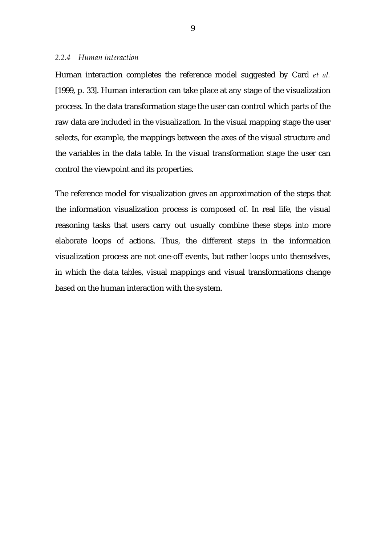#### <span id="page-12-0"></span>*2.2.4 Human interaction*

Human interaction completes the reference model suggested by Card *et al.* [1999, p. 33]. Human interaction can take place at any stage of the visualization process. In the data transformation stage the user can control which parts of the raw data are included in the visualization. In the visual mapping stage the user selects, for example, the mappings between the axes of the visual structure and the variables in the data table. In the visual transformation stage the user can control the viewpoint and its properties.

The reference model for visualization gives an approximation of the steps that the information visualization process is composed of. In real life, the visual reasoning tasks that users carry out usually combine these steps into more elaborate loops of actions. Thus, the different steps in the information visualization process are not one-off events, but rather loops unto themselves, in which the data tables, visual mappings and visual transformations change based on the human interaction with the system.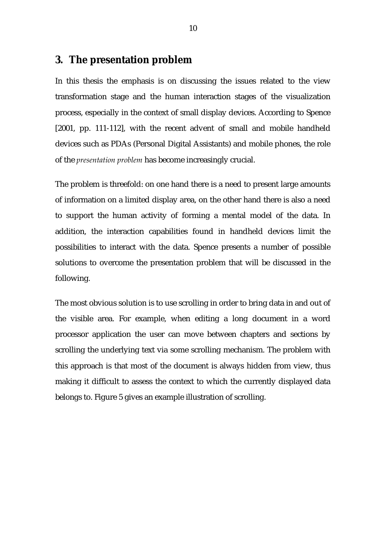# <span id="page-13-0"></span>**3. The presentation problem**

In this thesis the emphasis is on discussing the issues related to the view transformation stage and the human interaction stages of the visualization process, especially in the context of small display devices. According to Spence [2001, pp. 111-112], with the recent advent of small and mobile handheld devices such as PDAs (Personal Digital Assistants) and mobile phones, the role of the *presentation problem* has become increasingly crucial.

The problem is threefold: on one hand there is a need to present large amounts of information on a limited display area, on the other hand there is also a need to support the human activity of forming a mental model of the data. In addition, the interaction capabilities found in handheld devices limit the possibilities to interact with the data. Spence presents a number of possible solutions to overcome the presentation problem that will be discussed in the following.

The most obvious solution is to use scrolling in order to bring data in and out of the visible area. For example, when editing a long document in a word processor application the user can move between chapters and sections by scrolling the underlying text via some scrolling mechanism. The problem with this approach is that most of the document is always hidden from view, thus making it difficult to assess the context to which the currently displayed data belongs to. Figure 5 gives an example illustration of scrolling.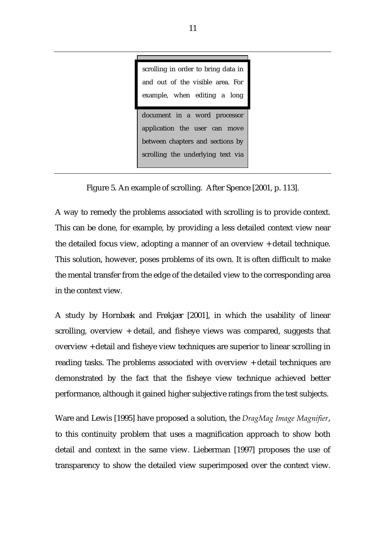The most obvious solution is to use scrolling in order to bring data in and out of the visible area. For document in a word processor scrolling in order to bring data in and out of the visible area. For example, when editing a long

application the user can move between chapters and sections by scrolling the underlying text via

Figure 5. An example of scrolling. After Spence [2001, p. 113].

A way to remedy the problems associated with scrolling is to provide context. This can be done, for example, by providing a less detailed context view near the detailed focus view, adopting a manner of an overview + detail technique. This solution, however, poses problems of its own. It is often difficult to make the mental transfer from the edge of the detailed view to the corresponding area in the context view.

A study by Hornbæk and Frøkjær [2001], in which the usability of linear scrolling, overview + detail, and fisheye views was compared, suggests that overview + detail and fisheye view techniques are superior to linear scrolling in reading tasks. The problems associated with overview + detail techniques are demonstrated by the fact that the fisheye view technique achieved better performance, although it gained higher subjective ratings from the test subjects.

Ware and Lewis [1995] have proposed a solution, the *DragMag Image Magnifier*, to this continuity problem that uses a magnification approach to show both detail and context in the same view. Lieberman [1997] proposes the use of transparency to show the detailed view superimposed over the context view.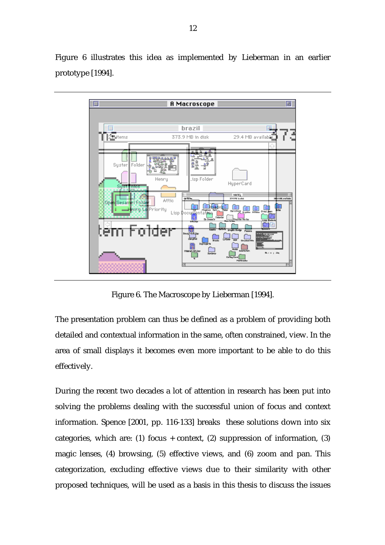Figure 6 illustrates this idea as implemented by Lieberman in an earlier prototype [1994].



Figure 6. The Macroscope by Lieberman [1994].

The presentation problem can thus be defined as a problem of providing both detailed and contextual information in the same, often constrained, view. In the area of small displays it becomes even more important to be able to do this effectively.

During the recent two decades a lot of attention in research has been put into solving the problems dealing with the successful union of focus and context information. Spence [2001, pp. 116-133] breaks these solutions down into six categories, which are: (1) focus + context, (2) suppression of information, (3) magic lenses, (4) browsing, (5) effective views, and (6) zoom and pan. This categorization, excluding effective views due to their similarity with other proposed techniques, will be used as a basis in this thesis to discuss the issues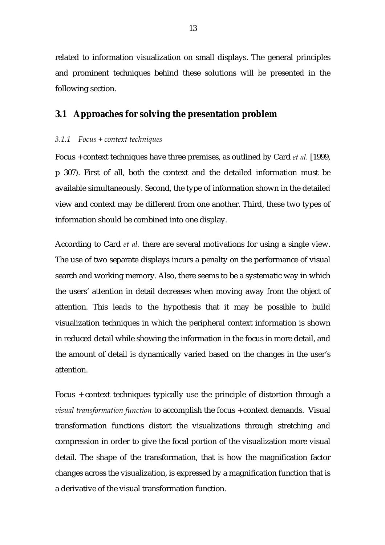<span id="page-16-0"></span>related to information visualization on small displays. The general principles and prominent techniques behind these solutions will be presented in the following section.

# **3.1 Approaches for solving the presentation problem**

#### *3.1.1 Focus + context techniques*

Focus + context techniques have three premises, as outlined by Card *et al.* [1999, p 307). First of all, both the context and the detailed information must be available simultaneously. Second, the type of information shown in the detailed view and context may be different from one another. Third, these two types of information should be combined into one display.

According to Card *et al.* there are several motivations for using a single view. The use of two separate displays incurs a penalty on the performance of visual search and working memory. Also, there seems to be a systematic way in which the users' attention in detail decreases when moving away from the object of attention. This leads to the hypothesis that it may be possible to build visualization techniques in which the peripheral context information is shown in reduced detail while showing the information in the focus in more detail, and the amount of detail is dynamically varied based on the changes in the user's attention.

Focus + context techniques typically use the principle of distortion through a *visual transformation function* to accomplish the focus + context demands. Visual transformation functions distort the visualizations through stretching and compression in order to give the focal portion of the visualization more visual detail. The shape of the transformation, that is how the magnification factor changes across the visualization, is expressed by a magnification function that is a derivative of the visual transformation function.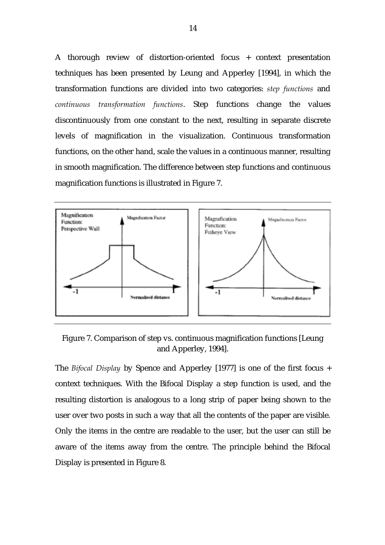A thorough review of distortion-oriented focus + context presentation techniques has been presented by Leung and Apperley [1994], in which the transformation functions are divided into two categories: *step functions* and *continuous transformation functions*. Step functions change the values discontinuously from one constant to the next, resulting in separate discrete levels of magnification in the visualization. Continuous transformation functions, on the other hand, scale the values in a continuous manner, resulting in smooth magnification. The difference between step functions and continuous magnification functions is illustrated in Figure 7.



Figure 7. Comparison of step vs. continuous magnification functions [Leung and Apperley, 1994].

The *Bifocal Display* by Spence and Apperley [1977] is one of the first focus + context techniques. With the Bifocal Display a step function is used, and the resulting distortion is analogous to a long strip of paper being shown to the user over two posts in such a way that all the contents of the paper are visible. Only the items in the centre are readable to the user, but the user can still be aware of the items away from the centre. The principle behind the Bifocal Display is presented in Figure 8.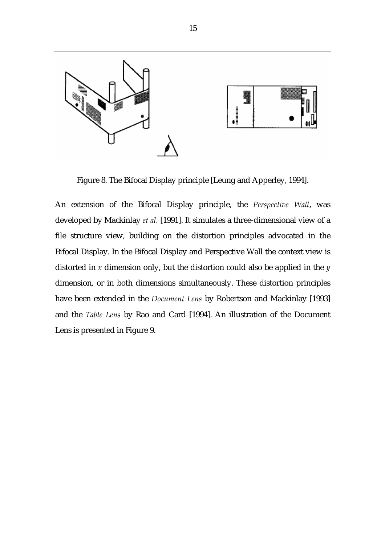

Figure 8. The Bifocal Display principle [Leung and Apperley, 1994].

An extension of the Bifocal Display principle, the *Perspective Wall*, was developed by Mackinlay *et al.* [1991]. It simulates a three-dimensional view of a file structure view, building on the distortion principles advocated in the Bifocal Display. In the Bifocal Display and Perspective Wall the context view is distorted in *x* dimension only, but the distortion could also be applied in the *y*  dimension, or in both dimensions simultaneously. These distortion principles have been extended in the *Document Lens* by Robertson and Mackinlay [1993] and the *Table Lens* by Rao and Card [1994]. An illustration of the Document Lens is presented in Figure 9.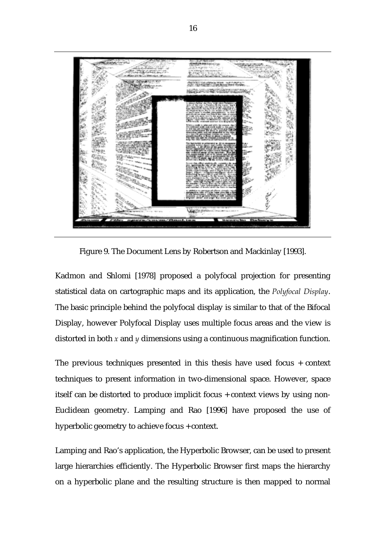

Figure 9. The Document Lens by Robertson and Mackinlay [1993].

Kadmon and Shlomi [1978] proposed a polyfocal projection for presenting statistical data on cartographic maps and its application, the *Polyfocal Display*. The basic principle behind the polyfocal display is similar to that of the Bifocal Display, however Polyfocal Display uses multiple focus areas and the view is distorted in both *x* and *y* dimensions using a continuous magnification function.

The previous techniques presented in this thesis have used focus + context techniques to present information in two-dimensional space. However, space itself can be distorted to produce implicit focus + context views by using non-Euclidean geometry. Lamping and Rao [1996] have proposed the use of hyperbolic geometry to achieve focus + context.

Lamping and Rao's application, the Hyperbolic Browser, can be used to present large hierarchies efficiently. The Hyperbolic Browser first maps the hierarchy on a hyperbolic plane and the resulting structure is then mapped to normal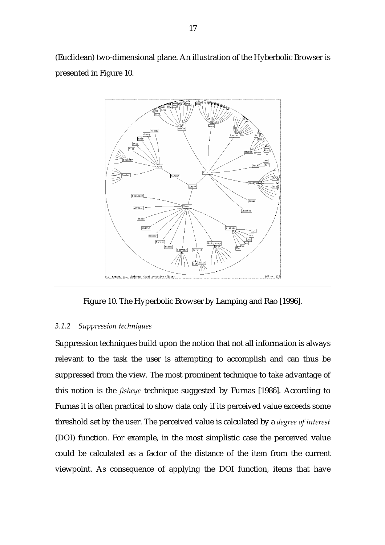<span id="page-20-0"></span>(Euclidean) two-dimensional plane. An illustration of the Hyberbolic Browser is presented in Figure 10.



Figure 10. The Hyperbolic Browser by Lamping and Rao [1996].

## *3.1.2 Suppression techniques*

Suppression techniques build upon the notion that not all information is always relevant to the task the user is attempting to accomplish and can thus be suppressed from the view. The most prominent technique to take advantage of this notion is the *fisheye* technique suggested by Furnas [1986]. According to Furnas it is often practical to show data only if its perceived value exceeds some threshold set by the user. The perceived value is calculated by a *degree of interest* (DOI) function. For example, in the most simplistic case the perceived value could be calculated as a factor of the distance of the item from the current viewpoint. As consequence of applying the DOI function, items that have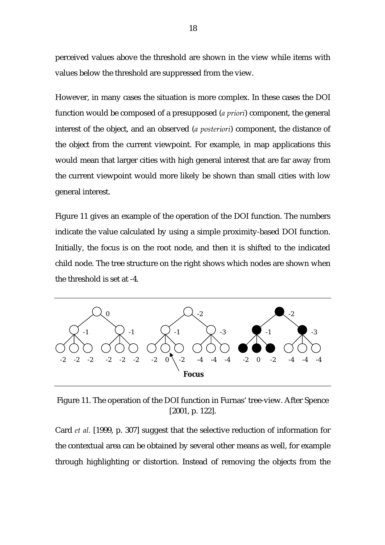perceived values above the threshold are shown in the view while items with values below the threshold are suppressed from the view.

However, in many cases the situation is more complex. In these cases the DOI function would be composed of a presupposed (*a priori*) component, the general interest of the object, and an observed (*a posteriori*) component, the distance of the object from the current viewpoint. For example, in map applications this would mean that larger cities with high general interest that are far away from the current viewpoint would more likely be shown than small cities with low general interest.

Figure 11 gives an example of the operation of the DOI function. The numbers indicate the value calculated by using a simple proximity-based DOI function. Initially, the focus is on the root node, and then it is shifted to the indicated child node. The tree structure on the right shows which nodes are shown when the threshold is set at -4.



Figure 11. The operation of the DOI function in Furnas' tree-view. After Spence [2001, p. 122].

Card *et al.* [1999, p. 307] suggest that the selective reduction of information for the contextual area can be obtained by several other means as well, for example through highlighting or distortion. Instead of removing the objects from the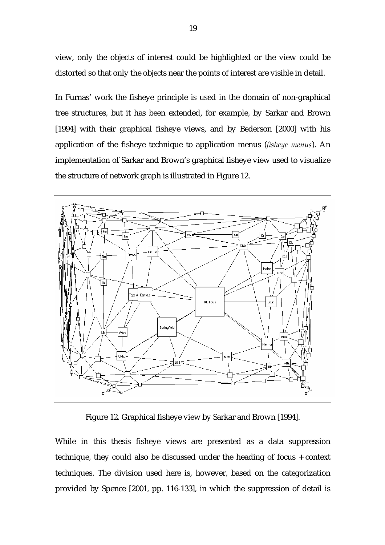view, only the objects of interest could be highlighted or the view could be distorted so that only the objects near the points of interest are visible in detail.

In Furnas' work the fisheye principle is used in the domain of non-graphical tree structures, but it has been extended, for example, by Sarkar and Brown [1994] with their graphical fisheye views, and by Bederson [2000] with his application of the fisheye technique to application menus (*fisheye menus*). An implementation of Sarkar and Brown's graphical fisheye view used to visualize the structure of network graph is illustrated in Figure 12.



Figure 12. Graphical fisheye view by Sarkar and Brown [1994].

While in this thesis fisheye views are presented as a data suppression technique, they could also be discussed under the heading of focus + context techniques. The division used here is, however, based on the categorization provided by Spence [2001, pp. 116-133], in which the suppression of detail is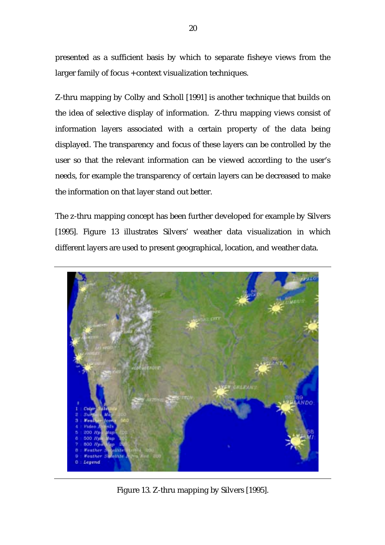presented as a sufficient basis by which to separate fisheye views from the larger family of focus + context visualization techniques.

Z-thru mapping by Colby and Scholl [1991] is another technique that builds on the idea of selective display of information. Z-thru mapping views consist of information layers associated with a certain property of the data being displayed. The transparency and focus of these layers can be controlled by the user so that the relevant information can be viewed according to the user's needs, for example the transparency of certain layers can be decreased to make the information on that layer stand out better.

The z-thru mapping concept has been further developed for example by Silvers [1995]. Figure 13 illustrates Silvers' weather data visualization in which different layers are used to present geographical, location, and weather data.



Figure 13. Z-thru mapping by Silvers [1995].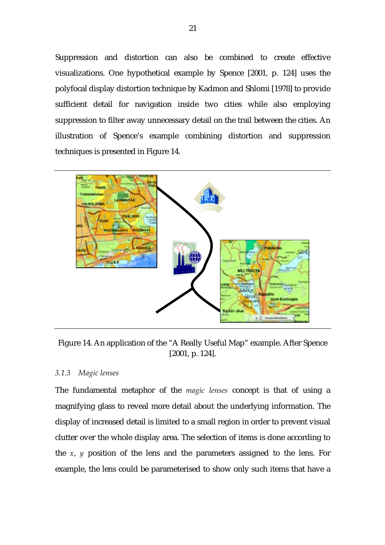<span id="page-24-0"></span>Suppression and distortion can also be combined to create effective visualizations. One hypothetical example by Spence [2001, p. 124] uses the polyfocal display distortion technique by Kadmon and Shlomi [1978] to provide sufficient detail for navigation inside two cities while also employing suppression to filter away unnecessary detail on the trail between the cities. An illustration of Spence's example combining distortion and suppression techniques is presented in Figure 14.



Figure 14. An application of the "A Really Useful Map" example. After Spence [2001, p. 124].

## *3.1.3 Magic lenses*

The fundamental metaphor of the *magic lenses* concept is that of using a magnifying glass to reveal more detail about the underlying information. The display of increased detail is limited to a small region in order to prevent visual clutter over the whole display area. The selection of items is done according to the  $x$ ,  $y$  position of the lens and the parameters assigned to the lens. For example, the lens could be parameterised to show only such items that have a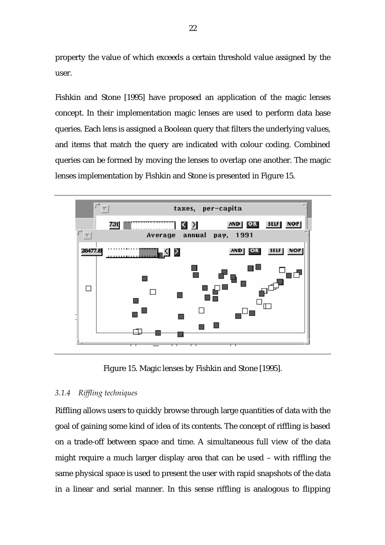<span id="page-25-0"></span>property the value of which exceeds a certain threshold value assigned by the user.

Fishkin and Stone [1995] have proposed an application of the magic lenses concept. In their implementation magic lenses are used to perform data base queries. Each lens is assigned a Boolean query that filters the underlying values, and items that match the query are indicated with colour coding. Combined queries can be formed by moving the lenses to overlap one another. The magic lenses implementation by Fishkin and Stone is presented in Figure 15.



Figure 15. Magic lenses by Fishkin and Stone [1995].

## *3.1.4 Riffling techniques*

Riffling allows users to quickly browse through large quantities of data with the goal of gaining some kind of idea of its contents. The concept of riffling is based on a trade-off between space and time. A simultaneous full view of the data might require a much larger display area that can be used – with riffling the same physical space is used to present the user with rapid snapshots of the data in a linear and serial manner. In this sense riffling is analogous to flipping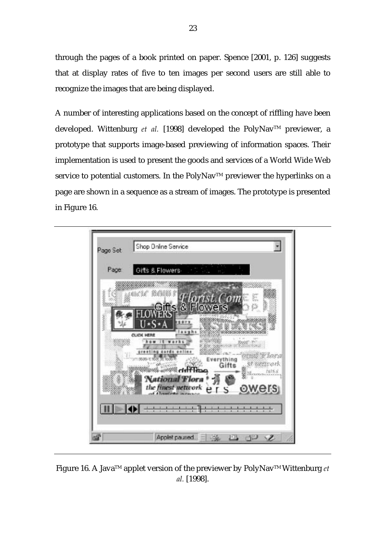through the pages of a book printed on paper. Spence [2001, p. 126] suggests that at display rates of five to ten images per second users are still able to recognize the images that are being displayed.

A number of interesting applications based on the concept of riffling have been developed. Wittenburg et al. [1998] developed the PolyNav<sup>™</sup> previewer, a prototype that supports image-based previewing of information spaces. Their implementation is used to present the goods and services of a World Wide Web service to potential customers. In the PolyNav™ previewer the hyperlinks on a page are shown in a sequence as a stream of images. The prototype is presented in Figure 16.



Figure 16. A JavaTM applet version of the previewer by PolyNavTM Wittenburg *et al.* [1998].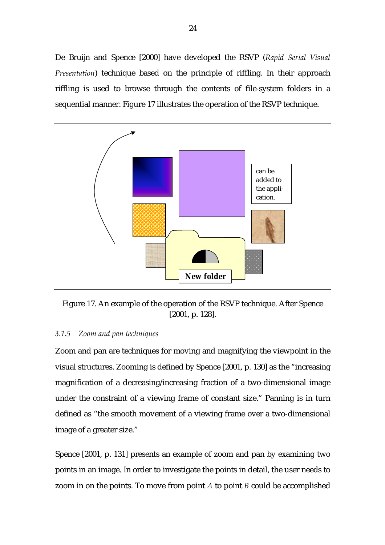<span id="page-27-0"></span>De Bruijn and Spence [2000] have developed the RSVP (*Rapid Serial Visual Presentation*) technique based on the principle of riffling. In their approach riffling is used to browse through the contents of file-system folders in a sequential manner. Figure 17 illustrates the operation of the RSVP technique.



Figure 17. An example of the operation of the RSVP technique. After Spence [2001, p. 128].

#### *3.1.5 Zoom and pan techniques*

Zoom and pan are techniques for moving and magnifying the viewpoint in the visual structures. Zooming is defined by Spence [2001, p. 130] as the "increasing magnification of a decreasing/increasing fraction of a two-dimensional image under the constraint of a viewing frame of constant size." Panning is in turn defined as "the smooth movement of a viewing frame over a two-dimensional image of a greater size."

Spence [2001, p. 131] presents an example of zoom and pan by examining two points in an image. In order to investigate the points in detail, the user needs to zoom in on the points. To move from point *A* to point *B* could be accomplished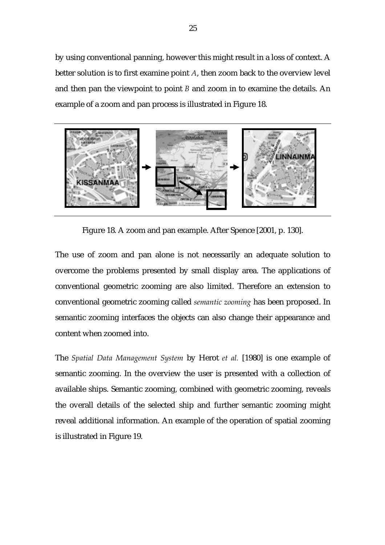by using conventional panning, however this might result in a loss of context. A better solution is to first examine point *A*, then zoom back to the overview level and then pan the viewpoint to point *B* and zoom in to examine the details. An example of a zoom and pan process is illustrated in Figure 18.



Figure 18. A zoom and pan example. After Spence [2001, p. 130].

The use of zoom and pan alone is not necessarily an adequate solution to overcome the problems presented by small display area. The applications of conventional geometric zooming are also limited. Therefore an extension to conventional geometric zooming called *semantic zooming* has been proposed. In semantic zooming interfaces the objects can also change their appearance and content when zoomed into.

The *Spatial Data Management System* by Herot *et al.* [1980] is one example of semantic zooming. In the overview the user is presented with a collection of available ships. Semantic zooming, combined with geometric zooming, reveals the overall details of the selected ship and further semantic zooming might reveal additional information. An example of the operation of spatial zooming is illustrated in Figure 19.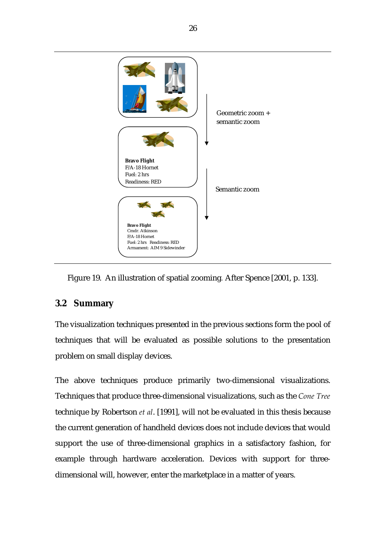<span id="page-29-0"></span>

Figure 19. An illustration of spatial zooming*.* After Spence [2001, p. 133].

# **3.2 Summary**

The visualization techniques presented in the previous sections form the pool of techniques that will be evaluated as possible solutions to the presentation problem on small display devices.

The above techniques produce primarily two-dimensional visualizations. Techniques that produce three-dimensional visualizations, such as the *Cone Tree* technique by Robertson *et al*. [1991], will not be evaluated in this thesis because the current generation of handheld devices does not include devices that would support the use of three-dimensional graphics in a satisfactory fashion, for example through hardware acceleration. Devices with support for threedimensional will, however, enter the marketplace in a matter of years.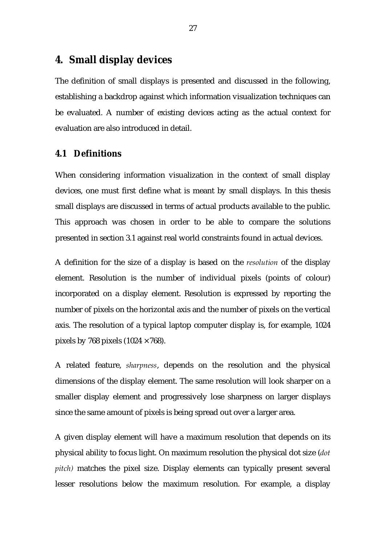# <span id="page-30-0"></span>**4. Small display devices**

The definition of small displays is presented and discussed in the following, establishing a backdrop against which information visualization techniques can be evaluated. A number of existing devices acting as the actual context for evaluation are also introduced in detail.

## **4.1 Definitions**

When considering information visualization in the context of small display devices, one must first define what is meant by small displays. In this thesis small displays are discussed in terms of actual products available to the public. This approach was chosen in order to be able to compare the solutions presented in section 3.1 against real world constraints found in actual devices.

A definition for the size of a display is based on the *resolution* of the display element. Resolution is the number of individual pixels (points of colour) incorporated on a display element. Resolution is expressed by reporting the number of pixels on the horizontal axis and the number of pixels on the vertical axis. The resolution of a typical laptop computer display is, for example, 1024 pixels by 768 pixels  $(1024 \times 768)$ .

A related feature, *sharpness*, depends on the resolution and the physical dimensions of the display element. The same resolution will look sharper on a smaller display element and progressively lose sharpness on larger displays since the same amount of pixels is being spread out over a larger area.

A given display element will have a maximum resolution that depends on its physical ability to focus light. On maximum resolution the physical dot size (*dot pitch)* matches the pixel size. Display elements can typically present several lesser resolutions below the maximum resolution. For example, a display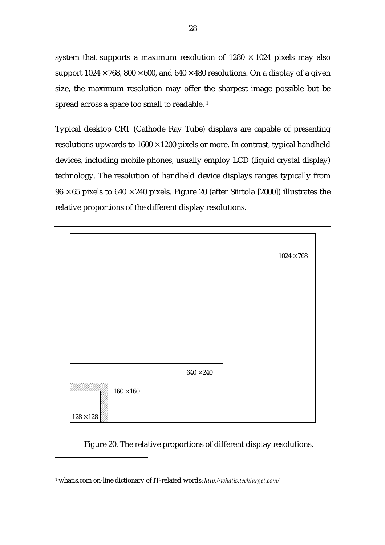system that supports a maximum resolution of  $1280 \times 1024$  pixels may also support  $1024 \times 768$ ,  $800 \times 600$ , and  $640 \times 480$  resolutions. On a display of a given size, the maximum resolution may offer the sharpest image possible but be spread across a space too small to readable.<sup>1</sup>

Typical desktop CRT (Cathode Ray Tube) displays are capable of presenting resolutions upwards to  $1600 \times 1200$  pixels or more. In contrast, typical handheld devices, including mobile phones, usually employ LCD (liquid crystal display) technology. The resolution of handheld device displays ranges typically from  $96 \times 65$  pixels to  $640 \times 240$  pixels. Figure 20 (after Siirtola [2000]) illustrates the relative proportions of the different display resolutions.



Figure 20. The relative proportions of different display resolutions.

 $\overline{a}$ 

<span id="page-31-0"></span><sup>1</sup> whatis.com on-line dictionary of IT-related words: *http://whatis.techtarget.com/*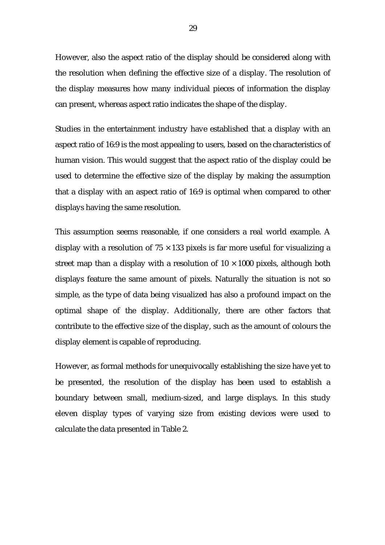However, also the aspect ratio of the display should be considered along with the resolution when defining the effective size of a display. The resolution of the display measures how many individual pieces of information the display can present, whereas aspect ratio indicates the shape of the display.

Studies in the entertainment industry have established that a display with an aspect ratio of 16:9 is the most appealing to users, based on the characteristics of human vision. This would suggest that the aspect ratio of the display could be used to determine the effective size of the display by making the assumption that a display with an aspect ratio of 16:9 is optimal when compared to other displays having the same resolution.

This assumption seems reasonable, if one considers a real world example. A display with a resolution of  $75 \times 133$  pixels is far more useful for visualizing a street map than a display with a resolution of  $10 \times 1000$  pixels, although both displays feature the same amount of pixels. Naturally the situation is not so simple, as the type of data being visualized has also a profound impact on the optimal shape of the display. Additionally, there are other factors that contribute to the effective size of the display, such as the amount of colours the display element is capable of reproducing.

However, as formal methods for unequivocally establishing the size have yet to be presented, the resolution of the display has been used to establish a boundary between small, medium-sized, and large displays. In this study eleven display types of varying size from existing devices were used to calculate the data presented in Table 2.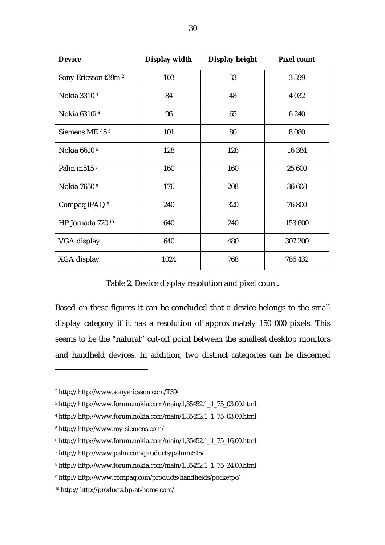| <b>Device</b>                   | Display width | Display height | <b>Pixel count</b> |
|---------------------------------|---------------|----------------|--------------------|
| Sony Ericsson t39m <sup>2</sup> | 103           | 33             | 3 3 9 9            |
| Nokia 3310 <sup>3</sup>         | 84            | 48             | 4 0 3 2            |
| Nokia 6310i <sup>4</sup>        | 96            | 65             | 6 2 4 0            |
| Siemens ME 45 <sup>5</sup>      | 101           | 80             | 8 0 8 0            |
| Nokia 6610 <sup>6</sup>         | 128           | 128            | 16 384             |
| Palm m515 <sup>7</sup>          | 160           | 160            | 25 600             |
| Nokia 7650 <sup>8</sup>         | 176           | 208            | 36 608             |
| Compaq iPAQ <sup>9</sup>        | 240           | 320            | 76 800             |
| HP Jornada 720 10               | 640           | 240            | 153 600            |
| VGA display                     | 640           | 480            | 307 200            |
| XGA display                     | 1024          | 768            | 786 432            |

Table 2. Device display resolution and pixel count.

Based on these figures it can be concluded that a device belongs to the small display category if it has a resolution of approximately 150 000 pixels. This seems to be the "natural" cut-off point between the smallest desktop monitors and handheld devices. In addition, two distinct categories can be discerned

 $\overline{a}$ 

<span id="page-33-0"></span><sup>2</sup> http:// http://www.sonyericsson.com/T39/

<span id="page-33-1"></span><sup>3</sup> http:// http://www.forum.nokia.com/main/1,35452,1\_1\_75\_03,00.html

<span id="page-33-2"></span><sup>4</sup> http:// http://www.forum.nokia.com/main/1,35452,1\_1\_75\_03,00.html

<span id="page-33-3"></span><sup>5</sup> http:// http://www.my-siemens.com/

<span id="page-33-4"></span><sup>6</sup> http:// http://www.forum.nokia.com/main/1,35452,1\_1\_75\_16,00.html

<span id="page-33-5"></span><sup>7</sup> http:// http://www.palm.com/products/palmm515/

<span id="page-33-6"></span><sup>8</sup> http:// http://www.forum.nokia.com/main/1,35452,1\_1\_75\_24,00.html

<span id="page-33-7"></span><sup>9</sup> http:// http://www.compaq.com/products/handhelds/pocketpc/

<span id="page-33-8"></span><sup>10</sup> http:// http://products.hp-at-home.com/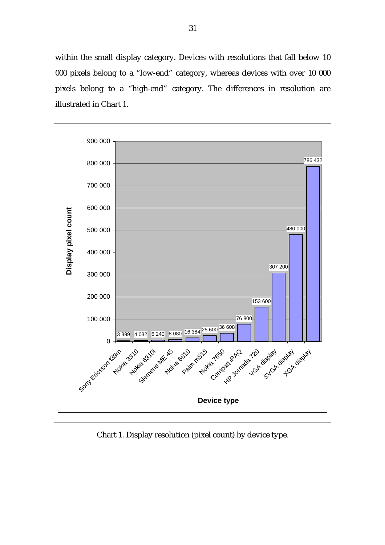within the small display category. Devices with resolutions that fall below 10 000 pixels belong to a "low-end" category, whereas devices with over 10 000 pixels belong to a "high-end" category. The differences in resolution are illustrated in Chart 1.



Chart 1. Display resolution (pixel count) by device type.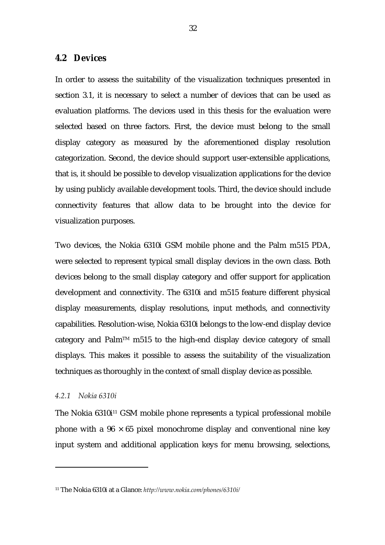### <span id="page-35-0"></span>**4.2 Devices**

In order to assess the suitability of the visualization techniques presented in section 3.1, it is necessary to select a number of devices that can be used as evaluation platforms. The devices used in this thesis for the evaluation were selected based on three factors. First, the device must belong to the small display category as measured by the aforementioned display resolution categorization. Second, the device should support user-extensible applications, that is, it should be possible to develop visualization applications for the device by using publicly available development tools. Third, the device should include connectivity features that allow data to be brought into the device for visualization purposes.

Two devices, the Nokia 6310i GSM mobile phone and the Palm m515 PDA, were selected to represent typical small display devices in the own class. Both devices belong to the small display category and offer support for application development and connectivity. The 6310i and m515 feature different physical display measurements, display resolutions, input methods, and connectivity capabilities. Resolution-wise, Nokia 6310i belongs to the low-end display device category and Palm<sup>TM</sup> m515 to the high-end display device category of small displays. This makes it possible to assess the suitability of the visualization techniques as thoroughly in the context of small display device as possible.

#### *4.2.1 Nokia 6310i*

 $\overline{a}$ 

The Nokia 6310i<sup>11</sup> GSM mobile phone represents a typical professional mobile phone with a  $96 \times 65$  pixel monochrome display and conventional nine key input system and additional application keys for menu browsing, selections,

<span id="page-35-1"></span><sup>11</sup> The Nokia 6310i at a Glance: *<http://www.nokia.com/phones/6310i/>*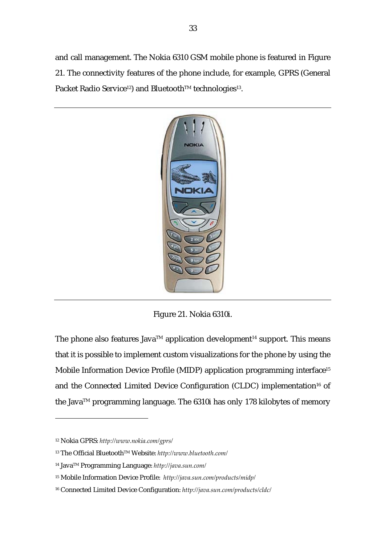and call management. The Nokia 6310 GSM mobile phone is featured in Figure 21. The connectivity features of the phone include, for example, GPRS (General Packet Radio Service<sup>12</sup>) and Bluetooth™ technologies<sup>13</sup>.



Figure 21. Nokia 6310i.

The phone also features Java<sup>TM</sup> application development<sup>14</sup> support. This means that it is possible to implement custom visualizations for the phone by using the Mobile Information Device Profile (MIDP) application programming interface<sup>15</sup> and the Connected Limited Device Configuration (CLDC) implementation<sup>16</sup> of the Java<sup>TM</sup> programming language. The 6310i has only 178 kilobytes of memory

l

<span id="page-36-0"></span><sup>12</sup> Nokia GPRS: *http://www.nokia.com/gprs/*

<span id="page-36-1"></span><sup>13</sup> The Official BluetoothTM Website: *http://www.bluetooth.com/*

<span id="page-36-2"></span><sup>14</sup> JavaTM Programming Language: *http://java.sun.com/*

<span id="page-36-3"></span><sup>15</sup> Mobile Information Device Profile: *http://java.sun.com/products/midp/*

<span id="page-36-4"></span><sup>16</sup> Connected Limited Device Configuration: *http://java.sun.com/products/cldc/*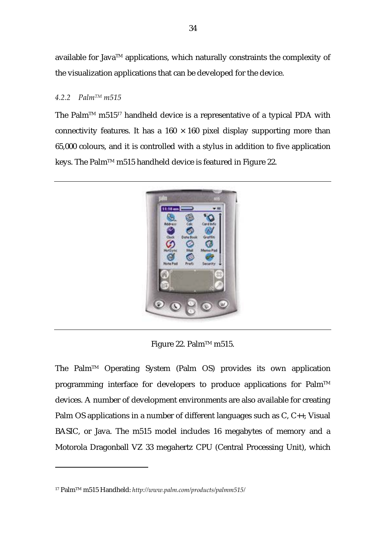available for Java<sup>TM</sup> applications, which naturally constraints the complexity of the visualization applications that can be developed for the device.

# *4.2.2 PalmTM m515*

The Palm<sup>TM</sup> m515<sup>17</sup> handheld device is a representative of a typical PDA with connectivity features. It has a  $160 \times 160$  pixel display supporting more than 65,000 colours, and it is controlled with a stylus in addition to five application keys. The Palm™ m515 handheld device is featured in Figure 22.



Figure 22. Palm™ m515.

The PalmTM Operating System (Palm OS) provides its own application programming interface for developers to produce applications for Palm<sup>TM</sup> devices. A number of development environments are also available for creating Palm OS applications in a number of different languages such as C, C++, Visual BASIC, or Java. The m515 model includes 16 megabytes of memory and a Motorola Dragonball VZ 33 megahertz CPU (Central Processing Unit), which

 $\overline{a}$ 

<span id="page-37-0"></span><sup>17</sup> PalmTM m515 Handheld: *<http://www.palm.com/products/palmm515/>*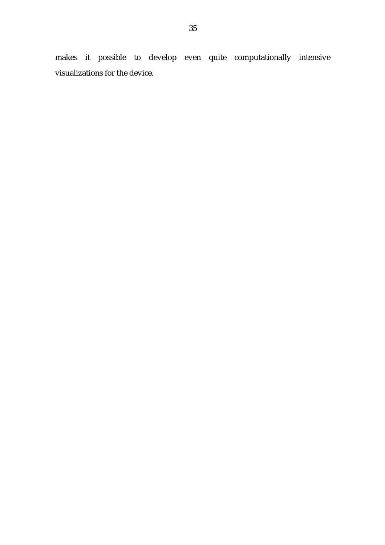makes it possible to develop even quite computationally intensive visualizations for the device.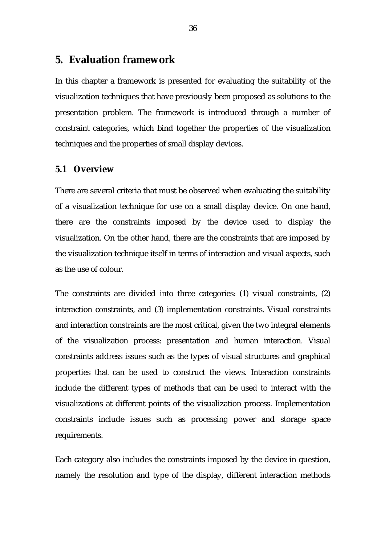# **5. Evaluation framework**

In this chapter a framework is presented for evaluating the suitability of the visualization techniques that have previously been proposed as solutions to the presentation problem. The framework is introduced through a number of constraint categories, which bind together the properties of the visualization techniques and the properties of small display devices.

# **5.1 Overview**

There are several criteria that must be observed when evaluating the suitability of a visualization technique for use on a small display device. On one hand, there are the constraints imposed by the device used to display the visualization. On the other hand, there are the constraints that are imposed by the visualization technique itself in terms of interaction and visual aspects, such as the use of colour.

The constraints are divided into three categories: (1) visual constraints, (2) interaction constraints, and (3) implementation constraints. Visual constraints and interaction constraints are the most critical, given the two integral elements of the visualization process: presentation and human interaction. Visual constraints address issues such as the types of visual structures and graphical properties that can be used to construct the views. Interaction constraints include the different types of methods that can be used to interact with the visualizations at different points of the visualization process. Implementation constraints include issues such as processing power and storage space requirements.

Each category also includes the constraints imposed by the device in question, namely the resolution and type of the display, different interaction methods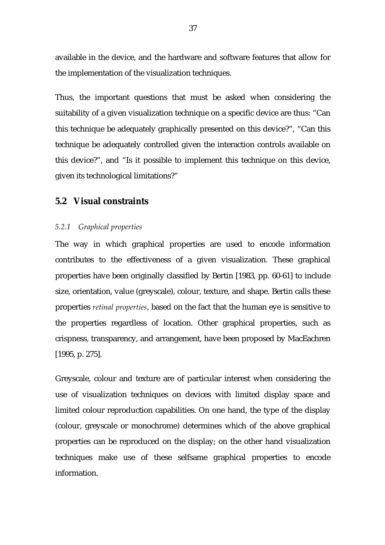available in the device, and the hardware and software features that allow for the implementation of the visualization techniques.

Thus, the important questions that must be asked when considering the suitability of a given visualization technique on a specific device are thus: "Can this technique be adequately graphically presented on this device?", "Can this technique be adequately controlled given the interaction controls available on this device?", and "Is it possible to implement this technique on this device, given its technological limitations?"

# **5.2 Visual constraints**

# *5.2.1 Graphical properties*

The way in which graphical properties are used to encode information contributes to the effectiveness of a given visualization. These graphical properties have been originally classified by Bertin [1983, pp. 60-61] to include size, orientation, value (greyscale), colour, texture, and shape. Bertin calls these properties *retinal properties*, based on the fact that the human eye is sensitive to the properties regardless of location. Other graphical properties, such as crispness, transparency, and arrangement, have been proposed by MacEachren [1995, p. 275].

Greyscale, colour and texture are of particular interest when considering the use of visualization techniques on devices with limited display space and limited colour reproduction capabilities. On one hand, the type of the display (colour, greyscale or monochrome) determines which of the above graphical properties can be reproduced on the display; on the other hand visualization techniques make use of these selfsame graphical properties to encode information.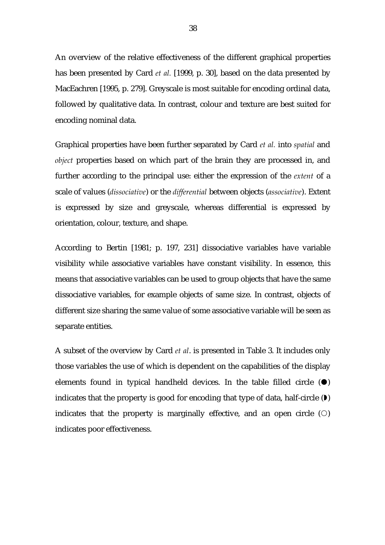An overview of the relative effectiveness of the different graphical properties has been presented by Card *et al.* [1999, p. 30], based on the data presented by MacEachren [1995, p. 279]. Greyscale is most suitable for encoding ordinal data, followed by qualitative data. In contrast, colour and texture are best suited for encoding nominal data.

Graphical properties have been further separated by Card *et al.* into *spatial* and *object* properties based on which part of the brain they are processed in, and further according to the principal use: either the expression of the *extent* of a scale of values (*dissociative*) or the *differential* between objects (*associative*). Extent is expressed by size and greyscale, whereas differential is expressed by orientation, colour, texture, and shape.

According to Bertin [1981; p. 197, 231] dissociative variables have variable visibility while associative variables have constant visibility. In essence, this means that associative variables can be used to group objects that have the same dissociative variables, for example objects of same size. In contrast, objects of different size sharing the same value of some associative variable will be seen as separate entities.

A subset of the overview by Card *et al*. is presented in Table 3. It includes only those variables the use of which is dependent on the capabilities of the display elements found in typical handheld devices. In the table filled circle  $(\bullet)$ indicates that the property is good for encoding that type of data, half-circle  $(V)$ indicates that the property is marginally effective, and an open circle  $(0)$ indicates poor effectiveness.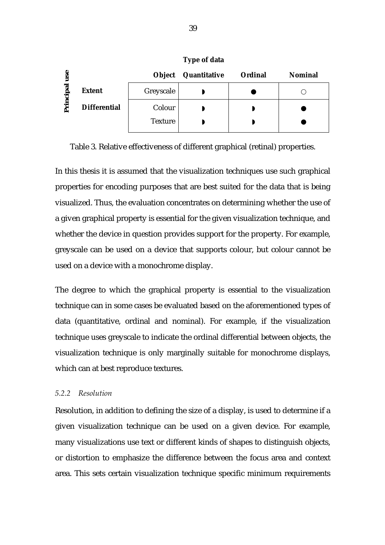| $\mathbf{S}$ |                     | Object         | Quantitative | <b>Ordinal</b> | <b>Nominal</b> |
|--------------|---------------------|----------------|--------------|----------------|----------------|
| ত<br>.은      | <b>Extent</b>       | Greyscale      |              |                |                |
| Ð            | <b>Differential</b> | Colour         |              |                |                |
|              |                     | <b>Texture</b> |              |                |                |

**Type of data** 

Table 3. Relative effectiveness of different graphical (retinal) properties.

In this thesis it is assumed that the visualization techniques use such graphical properties for encoding purposes that are best suited for the data that is being visualized. Thus, the evaluation concentrates on determining whether the use of a given graphical property is essential for the given visualization technique, and whether the device in question provides support for the property. For example, greyscale can be used on a device that supports colour, but colour cannot be used on a device with a monochrome display.

The degree to which the graphical property is essential to the visualization technique can in some cases be evaluated based on the aforementioned types of data (quantitative, ordinal and nominal). For example, if the visualization technique uses greyscale to indicate the ordinal differential between objects, the visualization technique is only marginally suitable for monochrome displays, which can at best reproduce textures.

# *5.2.2 Resolution*

Resolution, in addition to defining the size of a display, is used to determine if a given visualization technique can be used on a given device. For example, many visualizations use text or different kinds of shapes to distinguish objects, or distortion to emphasize the difference between the focus area and context area. This sets certain visualization technique specific minimum requirements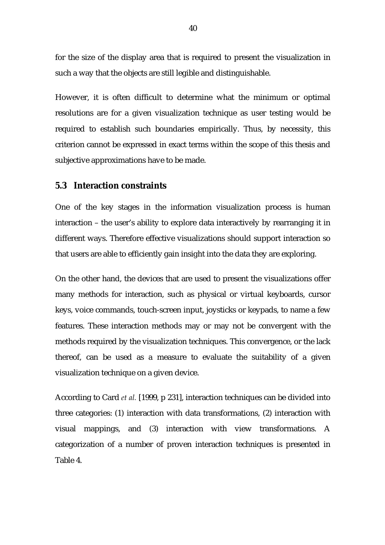for the size of the display area that is required to present the visualization in such a way that the objects are still legible and distinguishable.

However, it is often difficult to determine what the minimum or optimal resolutions are for a given visualization technique as user testing would be required to establish such boundaries empirically. Thus, by necessity, this criterion cannot be expressed in exact terms within the scope of this thesis and subjective approximations have to be made.

# **5.3 Interaction constraints**

One of the key stages in the information visualization process is human interaction – the user's ability to explore data interactively by rearranging it in different ways. Therefore effective visualizations should support interaction so that users are able to efficiently gain insight into the data they are exploring.

On the other hand, the devices that are used to present the visualizations offer many methods for interaction, such as physical or virtual keyboards, cursor keys, voice commands, touch-screen input, joysticks or keypads, to name a few features. These interaction methods may or may not be convergent with the methods required by the visualization techniques. This convergence, or the lack thereof, can be used as a measure to evaluate the suitability of a given visualization technique on a given device.

According to Card *et al.* [1999, p 231], interaction techniques can be divided into three categories: (1) interaction with data transformations, (2) interaction with visual mappings, and (3) interaction with view transformations. A categorization of a number of proven interaction techniques is presented in Table 4.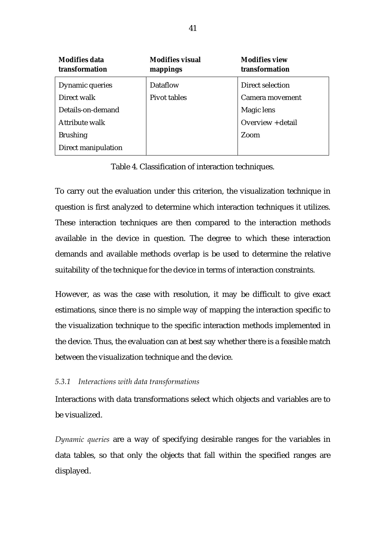| <b>Modifies data</b><br>transformation | <b>Modifies visual</b><br>mappings | <b>Modifies view</b><br>transformation |
|----------------------------------------|------------------------------------|----------------------------------------|
| Dynamic queries                        | Dataflow                           | Direct selection                       |
| Direct walk                            | Pivot tables                       | Camera movement                        |
| Details-on-demand                      |                                    | Magic lens                             |
| Attribute walk                         |                                    | Overview + detail                      |
| <b>Brushing</b>                        |                                    | Zoom                                   |
| Direct manipulation                    |                                    |                                        |

Table 4. Classification of interaction techniques.

To carry out the evaluation under this criterion, the visualization technique in question is first analyzed to determine which interaction techniques it utilizes. These interaction techniques are then compared to the interaction methods available in the device in question. The degree to which these interaction demands and available methods overlap is be used to determine the relative suitability of the technique for the device in terms of interaction constraints.

However, as was the case with resolution, it may be difficult to give exact estimations, since there is no simple way of mapping the interaction specific to the visualization technique to the specific interaction methods implemented in the device. Thus, the evaluation can at best say whether there is a feasible match between the visualization technique and the device.

# *5.3.1 Interactions with data transformations*

Interactions with data transformations select which objects and variables are to be visualized.

*Dynamic queries* are a way of specifying desirable ranges for the variables in data tables, so that only the objects that fall within the specified ranges are displayed.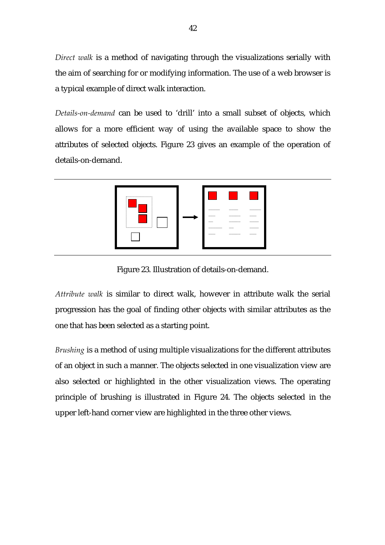*Direct walk* is a method of navigating through the visualizations serially with the aim of searching for or modifying information. The use of a web browser is a typical example of direct walk interaction.

*Details-on-demand* can be used to 'drill' into a small subset of objects, which allows for a more efficient way of using the available space to show the attributes of selected objects. Figure 23 gives an example of the operation of details-on-demand.



Figure 23. Illustration of details-on-demand.

*Attribute walk* is similar to direct walk, however in attribute walk the serial progression has the goal of finding other objects with similar attributes as the one that has been selected as a starting point.

*Brushing* is a method of using multiple visualizations for the different attributes of an object in such a manner. The objects selected in one visualization view are also selected or highlighted in the other visualization views. The operating principle of brushing is illustrated in Figure 24. The objects selected in the upper left-hand corner view are highlighted in the three other views.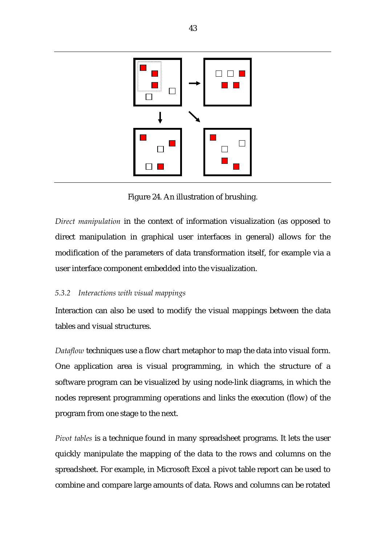

Figure 24. An illustration of brushing.

*Direct manipulation* in the context of information visualization (as opposed to direct manipulation in graphical user interfaces in general) allows for the modification of the parameters of data transformation itself, for example via a user interface component embedded into the visualization.

# *5.3.2 Interactions with visual mappings*

Interaction can also be used to modify the visual mappings between the data tables and visual structures.

*Dataflow* techniques use a flow chart metaphor to map the data into visual form. One application area is visual programming, in which the structure of a software program can be visualized by using node-link diagrams, in which the nodes represent programming operations and links the execution (flow) of the program from one stage to the next.

*Pivot tables* is a technique found in many spreadsheet programs. It lets the user quickly manipulate the mapping of the data to the rows and columns on the spreadsheet. For example, in Microsoft Excel a pivot table report can be used to combine and compare large amounts of data. Rows and columns can be rotated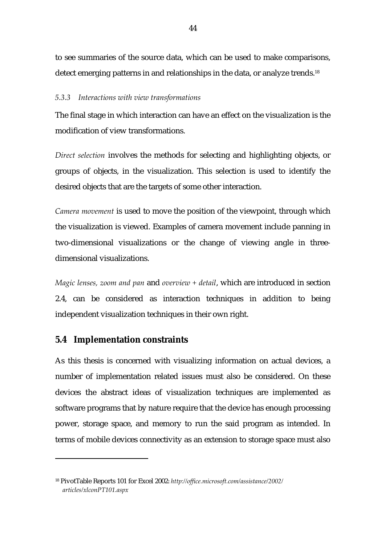to see summaries of the source data, which can be used to make comparisons, detect emerging patterns in and relationships in the data, or analyze trends[.18](#page-47-0)

## *5.3.3 Interactions with view transformations*

The final stage in which interaction can have an effect on the visualization is the modification of view transformations.

*Direct selection* involves the methods for selecting and highlighting objects, or groups of objects, in the visualization. This selection is used to identify the desired objects that are the targets of some other interaction.

*Camera movement* is used to move the position of the viewpoint, through which the visualization is viewed. Examples of camera movement include panning in two-dimensional visualizations or the change of viewing angle in threedimensional visualizations.

*Magic lenses, zoom and pan* and *overview + detail*, which are introduced in section 2.4, can be considered as interaction techniques in addition to being independent visualization techniques in their own right.

# **5.4 Implementation constraints**

 $\overline{a}$ 

As this thesis is concerned with visualizing information on actual devices, a number of implementation related issues must also be considered. On these devices the abstract ideas of visualization techniques are implemented as software programs that by nature require that the device has enough processing power, storage space, and memory to run the said program as intended. In terms of mobile devices connectivity as an extension to storage space must also

<span id="page-47-0"></span><sup>18</sup> PivotTable Reports 101 for Excel 2002: *http://office.microsoft.com/assistance/2002/ articles/xlconPT101.aspx*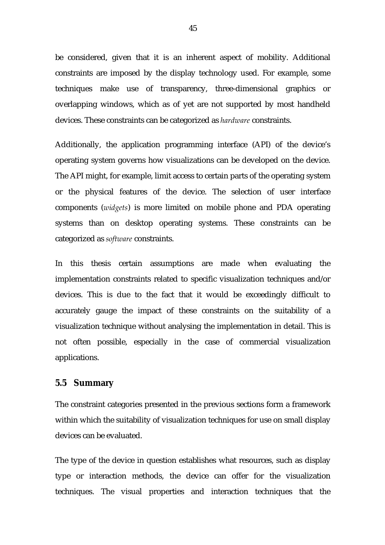be considered, given that it is an inherent aspect of mobility. Additional constraints are imposed by the display technology used. For example, some techniques make use of transparency, three-dimensional graphics or overlapping windows, which as of yet are not supported by most handheld devices. These constraints can be categorized as *hardware* constraints.

Additionally, the application programming interface (API) of the device's operating system governs how visualizations can be developed on the device. The API might, for example, limit access to certain parts of the operating system or the physical features of the device. The selection of user interface components (*widgets*) is more limited on mobile phone and PDA operating systems than on desktop operating systems. These constraints can be categorized as *software* constraints.

In this thesis certain assumptions are made when evaluating the implementation constraints related to specific visualization techniques and/or devices. This is due to the fact that it would be exceedingly difficult to accurately gauge the impact of these constraints on the suitability of a visualization technique without analysing the implementation in detail. This is not often possible, especially in the case of commercial visualization applications.

# **5.5 Summary**

The constraint categories presented in the previous sections form a framework within which the suitability of visualization techniques for use on small display devices can be evaluated.

The type of the device in question establishes what resources, such as display type or interaction methods, the device can offer for the visualization techniques. The visual properties and interaction techniques that the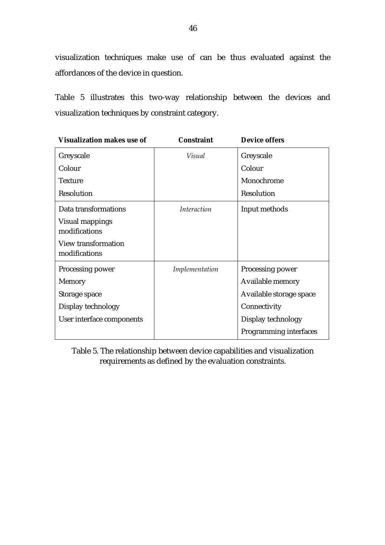visualization techniques make use of can be thus evaluated against the affordances of the device in question.

Table 5 illustrates this two-way relationship between the devices and visualization techniques by constraint category.

| <b>Visualization makes use of</b>    | <b>Constraint</b>  | <b>Device offers</b>    |
|--------------------------------------|--------------------|-------------------------|
| Greyscale                            | Visual             | Greyscale               |
| Colour                               |                    | Colour                  |
| <b>Texture</b>                       |                    | Monochrome              |
| Resolution                           |                    | Resolution              |
| Data transformations                 | <i>Interaction</i> | Input methods           |
| Visual mappings<br>modifications     |                    |                         |
| View transformation<br>modifications |                    |                         |
| Processing power                     | Implementation     | Processing power        |
| Memory                               |                    | Available memory        |
| Storage space                        |                    | Available storage space |
| Display technology                   |                    | Connectivity            |
| User interface components            |                    | Display technology      |
|                                      |                    | Programming interfaces  |

Table 5. The relationship between device capabilities and visualization requirements as defined by the evaluation constraints.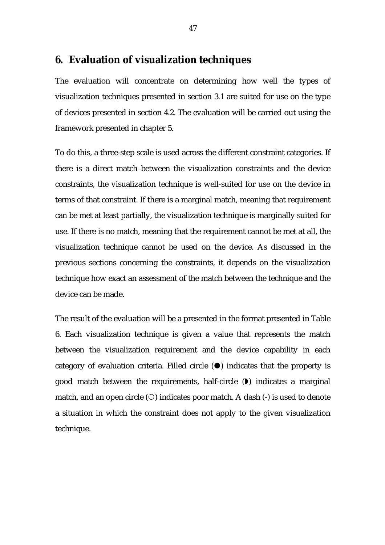# **6. Evaluation of visualization techniques**

The evaluation will concentrate on determining how well the types of visualization techniques presented in section 3.1 are suited for use on the type of devices presented in section 4.2. The evaluation will be carried out using the framework presented in chapter 5.

To do this, a three-step scale is used across the different constraint categories. If there is a direct match between the visualization constraints and the device constraints, the visualization technique is well-suited for use on the device in terms of that constraint. If there is a marginal match, meaning that requirement can be met at least partially, the visualization technique is marginally suited for use. If there is no match, meaning that the requirement cannot be met at all, the visualization technique cannot be used on the device. As discussed in the previous sections concerning the constraints, it depends on the visualization technique how exact an assessment of the match between the technique and the device can be made.

The result of the evaluation will be a presented in the format presented in Table 6. Each visualization technique is given a value that represents the match between the visualization requirement and the device capability in each category of evaluation criteria. Filled circle  $(\bullet)$  indicates that the property is good match between the requirements, half-circle  $(\bullet)$  indicates a marginal match, and an open circle  $(O)$  indicates poor match. A dash  $(-)$  is used to denote a situation in which the constraint does not apply to the given visualization technique.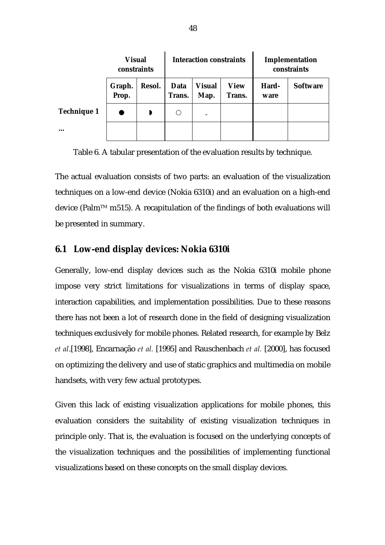|                    | <b>Visual</b><br>constraints |        | <b>Interaction constraints</b> |                       |                       | Implementation<br>constraints |                 |
|--------------------|------------------------------|--------|--------------------------------|-----------------------|-----------------------|-------------------------------|-----------------|
|                    | Graph.<br>Prop.              | Resol. | Data<br>Trans.                 | <b>Visual</b><br>Map. | <b>View</b><br>Trans. | Hard-<br>ware                 | <b>Software</b> |
| <b>Technique 1</b> |                              | Þ      |                                |                       |                       |                               |                 |
| $\ddotsc$          |                              |        |                                |                       |                       |                               |                 |

Table 6. A tabular presentation of the evaluation results by technique.

The actual evaluation consists of two parts: an evaluation of the visualization techniques on a low-end device (Nokia 6310i) and an evaluation on a high-end device (Palm<sup>TM</sup> m515). A recapitulation of the findings of both evaluations will be presented in summary.

# **6.1 Low-end display devices: Nokia 6310i**

Generally, low-end display devices such as the Nokia 6310i mobile phone impose very strict limitations for visualizations in terms of display space, interaction capabilities, and implementation possibilities. Due to these reasons there has not been a lot of research done in the field of designing visualization techniques exclusively for mobile phones. Related research, for example by Belz *et al*.[1998], Encarnação *et al.* [1995] and Rauschenbach *et al.* [2000], has focused on optimizing the delivery and use of static graphics and multimedia on mobile handsets, with very few actual prototypes.

Given this lack of existing visualization applications for mobile phones, this evaluation considers the suitability of existing visualization techniques in principle only. That is, the evaluation is focused on the underlying concepts of the visualization techniques and the possibilities of implementing functional visualizations based on these concepts on the small display devices.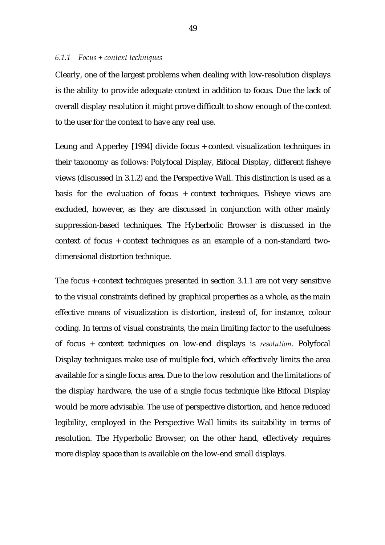#### *6.1.1 Focus + context techniques*

Clearly, one of the largest problems when dealing with low-resolution displays is the ability to provide adequate context in addition to focus. Due the lack of overall display resolution it might prove difficult to show enough of the context to the user for the context to have any real use.

Leung and Apperley [1994] divide focus + context visualization techniques in their taxonomy as follows: Polyfocal Display, Bifocal Display, different fisheye views (discussed in 3.1.2) and the Perspective Wall. This distinction is used as a basis for the evaluation of focus + context techniques. Fisheye views are excluded, however, as they are discussed in conjunction with other mainly suppression-based techniques. The Hyberbolic Browser is discussed in the context of focus + context techniques as an example of a non-standard twodimensional distortion technique.

The focus + context techniques presented in section 3.1.1 are not very sensitive to the visual constraints defined by graphical properties as a whole, as the main effective means of visualization is distortion, instead of, for instance, colour coding. In terms of visual constraints, the main limiting factor to the usefulness of focus + context techniques on low-end displays is *resolution*. Polyfocal Display techniques make use of multiple foci, which effectively limits the area available for a single focus area. Due to the low resolution and the limitations of the display hardware, the use of a single focus technique like Bifocal Display would be more advisable. The use of perspective distortion, and hence reduced legibility, employed in the Perspective Wall limits its suitability in terms of resolution. The Hyperbolic Browser, on the other hand, effectively requires more display space than is available on the low-end small displays.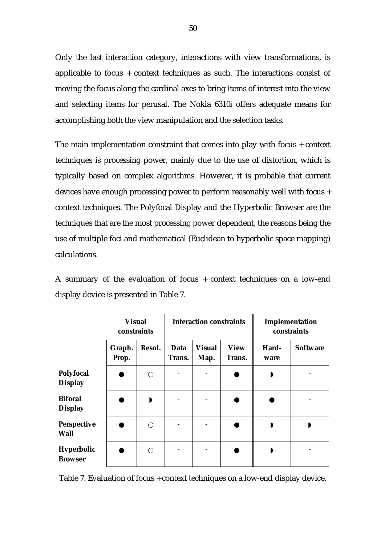Only the last interaction category, interactions with view transformations, is applicable to focus + context techniques as such. The interactions consist of moving the focus along the cardinal axes to bring items of interest into the view and selecting items for perusal. The Nokia 6310i offers adequate means for accomplishing both the view manipulation and the selection tasks.

The main implementation constraint that comes into play with focus + context techniques is processing power, mainly due to the use of distortion, which is typically based on complex algorithms. However, it is probable that current devices have enough processing power to perform reasonably well with focus + context techniques. The Polyfocal Display and the Hyperbolic Browser are the techniques that are the most processing power dependent, the reasons being the use of multiple foci and mathematical (Euclidean to hyperbolic space mapping) calculations.

A summary of the evaluation of focus + context techniques on a low-end display device is presented in Table 7.

|                                    | <b>Visual</b><br>constraints |        |                | <b>Interaction constraints</b> |                       | Implementation<br>constraints |                 |
|------------------------------------|------------------------------|--------|----------------|--------------------------------|-----------------------|-------------------------------|-----------------|
|                                    | Graph.<br>Prop.              | Resol. | Data<br>Trans. | <b>Visual</b><br>Map.          | <b>View</b><br>Trans. | Hard-<br>ware                 | <b>Software</b> |
| <b>Polyfocal</b><br><b>Display</b> |                              | ∩      |                |                                |                       | D                             |                 |
| <b>Bifocal</b><br><b>Display</b>   |                              | D      |                |                                |                       |                               |                 |
| <b>Perspective</b><br><b>Wall</b>  |                              | ◯      |                |                                |                       |                               |                 |
| Hyperbolic<br><b>Browser</b>       |                              | ◯      |                |                                |                       |                               |                 |

Table 7. Evaluation of focus + context techniques on a low-end display device.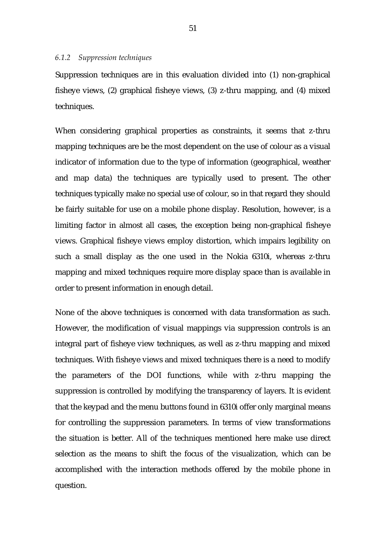### *6.1.2 Suppression techniques*

Suppression techniques are in this evaluation divided into (1) non-graphical fisheye views, (2) graphical fisheye views, (3) z-thru mapping, and (4) mixed techniques.

When considering graphical properties as constraints, it seems that z-thru mapping techniques are be the most dependent on the use of colour as a visual indicator of information due to the type of information (geographical, weather and map data) the techniques are typically used to present. The other techniques typically make no special use of colour, so in that regard they should be fairly suitable for use on a mobile phone display. Resolution, however, is a limiting factor in almost all cases, the exception being non-graphical fisheye views. Graphical fisheye views employ distortion, which impairs legibility on such a small display as the one used in the Nokia 6310i, whereas z-thru mapping and mixed techniques require more display space than is available in order to present information in enough detail.

None of the above techniques is concerned with data transformation as such. However, the modification of visual mappings via suppression controls is an integral part of fisheye view techniques, as well as z-thru mapping and mixed techniques. With fisheye views and mixed techniques there is a need to modify the parameters of the DOI functions, while with z-thru mapping the suppression is controlled by modifying the transparency of layers. It is evident that the keypad and the menu buttons found in 6310i offer only marginal means for controlling the suppression parameters. In terms of view transformations the situation is better. All of the techniques mentioned here make use direct selection as the means to shift the focus of the visualization, which can be accomplished with the interaction methods offered by the mobile phone in question.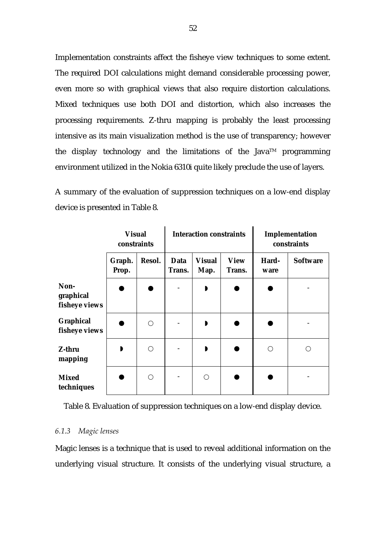Implementation constraints affect the fisheye view techniques to some extent. The required DOI calculations might demand considerable processing power, even more so with graphical views that also require distortion calculations. Mixed techniques use both DOI and distortion, which also increases the processing requirements. Z-thru mapping is probably the least processing intensive as its main visualization method is the use of transparency; however the display technology and the limitations of the Java<sup>TM</sup> programming environment utilized in the Nokia 6310i quite likely preclude the use of layers.

A summary of the evaluation of suppression techniques on a low-end display device is presented in Table 8.

|                                    | <b>Visual</b><br>constraints |            |                | <b>Interaction constraints</b> |                       | Implementation<br>constraints |                 |
|------------------------------------|------------------------------|------------|----------------|--------------------------------|-----------------------|-------------------------------|-----------------|
|                                    | Graph.<br>Prop.              | Resol.     | Data<br>Trans. | <b>Visual</b><br>Map.          | <b>View</b><br>Trans. | Hard-<br>ware                 | <b>Software</b> |
| Non-<br>graphical<br>fisheye views |                              |            |                | $\mathbf{D}$                   |                       |                               |                 |
| Graphical<br>fisheye views         |                              | $\bigcirc$ |                | $\mathbf{D}$                   |                       |                               |                 |
| Z-thru<br>mapping                  | D                            | $\bigcirc$ |                | $\blacksquare$                 |                       | $\bigcirc$                    | ∩               |
| <b>Mixed</b><br>techniques         |                              | $\bigcirc$ |                | $\bigcap$                      |                       |                               |                 |

Table 8. Evaluation of suppression techniques on a low-end display device.

# *6.1.3 Magic lenses*

Magic lenses is a technique that is used to reveal additional information on the underlying visual structure. It consists of the underlying visual structure, a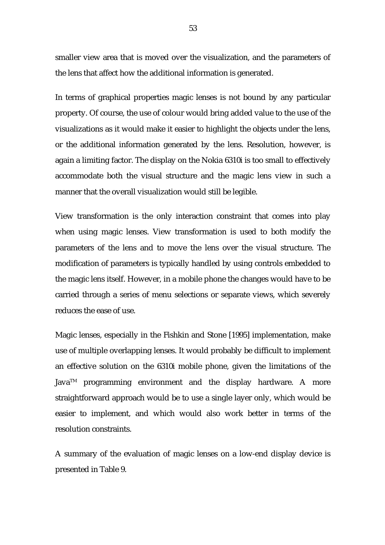smaller view area that is moved over the visualization, and the parameters of the lens that affect how the additional information is generated.

In terms of graphical properties magic lenses is not bound by any particular property. Of course, the use of colour would bring added value to the use of the visualizations as it would make it easier to highlight the objects under the lens, or the additional information generated by the lens. Resolution, however, is again a limiting factor. The display on the Nokia 6310i is too small to effectively accommodate both the visual structure and the magic lens view in such a manner that the overall visualization would still be legible.

View transformation is the only interaction constraint that comes into play when using magic lenses. View transformation is used to both modify the parameters of the lens and to move the lens over the visual structure. The modification of parameters is typically handled by using controls embedded to the magic lens itself. However, in a mobile phone the changes would have to be carried through a series of menu selections or separate views, which severely reduces the ease of use.

Magic lenses, especially in the Fishkin and Stone [1995] implementation, make use of multiple overlapping lenses. It would probably be difficult to implement an effective solution on the 6310i mobile phone, given the limitations of the Java<sup>TM</sup> programming environment and the display hardware. A more straightforward approach would be to use a single layer only, which would be easier to implement, and which would also work better in terms of the resolution constraints.

A summary of the evaluation of magic lenses on a low-end display device is presented in Table 9.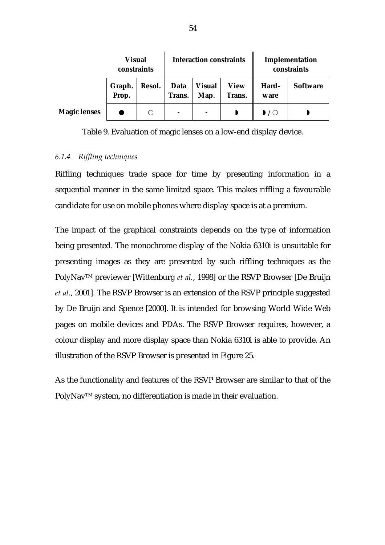|                     | <b>Visual</b><br>constraints |        | <b>Interaction constraints</b> |                       |                       | Implementation<br>constraints |                 |
|---------------------|------------------------------|--------|--------------------------------|-----------------------|-----------------------|-------------------------------|-----------------|
|                     | Graph.<br>Prop.              | Resol. | <b>Data</b><br>Trans.          | <b>Visual</b><br>Map. | <b>View</b><br>Trans. | Hard-<br>ware                 | <b>Software</b> |
| <b>Magic lenses</b> |                              |        | $\qquad \qquad -$              |                       |                       | $\mathbf{D}$ / $\bigcirc$     |                 |

Table 9. Evaluation of magic lenses on a low-end display device.

## *6.1.4 Riffling techniques*

Riffling techniques trade space for time by presenting information in a sequential manner in the same limited space. This makes riffling a favourable candidate for use on mobile phones where display space is at a premium.

The impact of the graphical constraints depends on the type of information being presented. The monochrome display of the Nokia 6310i is unsuitable for presenting images as they are presented by such riffling techniques as the PolyNav<sup>™</sup> previewer [Wittenburg *et al.*, 1998] or the RSVP Browser [De Bruijn *et al*., 2001]. The RSVP Browser is an extension of the RSVP principle suggested by De Bruijn and Spence [2000]. It is intended for browsing World Wide Web pages on mobile devices and PDAs. The RSVP Browser requires, however, a colour display and more display space than Nokia 6310i is able to provide. An illustration of the RSVP Browser is presented in Figure 25.

As the functionality and features of the RSVP Browser are similar to that of the PolyNav™ system, no differentiation is made in their evaluation.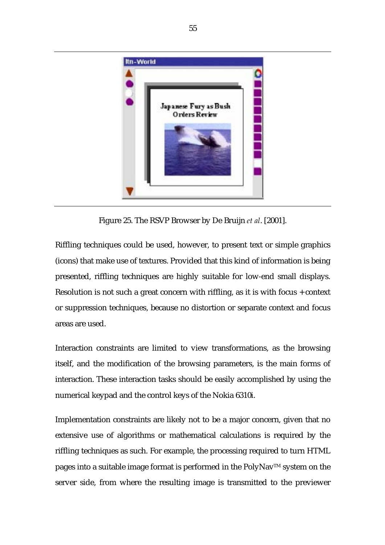

Figure 25. The RSVP Browser by De Bruijn *et al*. [2001].

Riffling techniques could be used, however, to present text or simple graphics (icons) that make use of textures. Provided that this kind of information is being presented, riffling techniques are highly suitable for low-end small displays. Resolution is not such a great concern with riffling, as it is with focus + context or suppression techniques, because no distortion or separate context and focus areas are used.

Interaction constraints are limited to view transformations, as the browsing itself, and the modification of the browsing parameters, is the main forms of interaction. These interaction tasks should be easily accomplished by using the numerical keypad and the control keys of the Nokia 6310i.

Implementation constraints are likely not to be a major concern, given that no extensive use of algorithms or mathematical calculations is required by the riffling techniques as such. For example, the processing required to turn HTML pages into a suitable image format is performed in the PolyNav<sup>TM</sup> system on the server side, from where the resulting image is transmitted to the previewer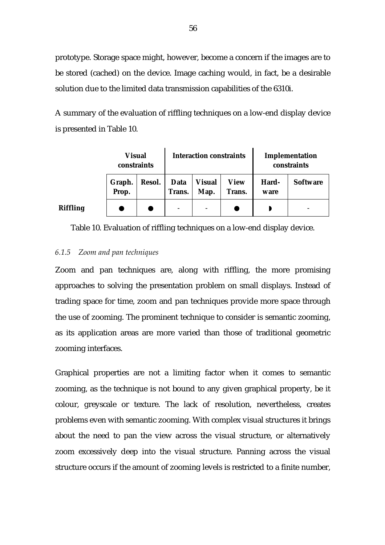prototype. Storage space might, however, become a concern if the images are to be stored (cached) on the device. Image caching would, in fact, be a desirable solution due to the limited data transmission capabilities of the 6310i.

A summary of the evaluation of riffling techniques on a low-end display device is presented in Table 10.

|          | <b>Visual</b><br>constraints |        | <b>Interaction constraints</b> |                       |                       | Implementation<br>constraints |                 |
|----------|------------------------------|--------|--------------------------------|-----------------------|-----------------------|-------------------------------|-----------------|
|          | Graph.<br>Prop.              | Resol. | Data<br>Trans.                 | <b>Visual</b><br>Map. | <b>View</b><br>Trans. | Hard-<br>ware                 | <b>Software</b> |
| Riffling |                              |        |                                |                       |                       |                               |                 |

Table 10. Evaluation of riffling techniques on a low-end display device.

# *6.1.5 Zoom and pan techniques*

Zoom and pan techniques are, along with riffling, the more promising approaches to solving the presentation problem on small displays. Instead of trading space for time, zoom and pan techniques provide more space through the use of zooming. The prominent technique to consider is semantic zooming, as its application areas are more varied than those of traditional geometric zooming interfaces.

Graphical properties are not a limiting factor when it comes to semantic zooming, as the technique is not bound to any given graphical property, be it colour, greyscale or texture. The lack of resolution, nevertheless, creates problems even with semantic zooming. With complex visual structures it brings about the need to pan the view across the visual structure, or alternatively zoom excessively deep into the visual structure. Panning across the visual structure occurs if the amount of zooming levels is restricted to a finite number,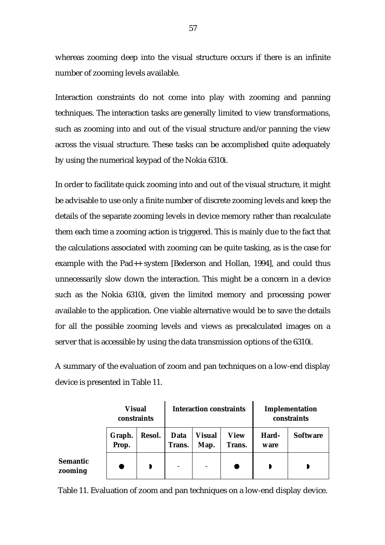whereas zooming deep into the visual structure occurs if there is an infinite number of zooming levels available.

Interaction constraints do not come into play with zooming and panning techniques. The interaction tasks are generally limited to view transformations, such as zooming into and out of the visual structure and/or panning the view across the visual structure. These tasks can be accomplished quite adequately by using the numerical keypad of the Nokia 6310i.

In order to facilitate quick zooming into and out of the visual structure, it might be advisable to use only a finite number of discrete zooming levels and keep the details of the separate zooming levels in device memory rather than recalculate them each time a zooming action is triggered. This is mainly due to the fact that the calculations associated with zooming can be quite tasking, as is the case for example with the Pad++ system [Bederson and Hollan, 1994], and could thus unnecessarily slow down the interaction. This might be a concern in a device such as the Nokia 6310i, given the limited memory and processing power available to the application. One viable alternative would be to save the details for all the possible zooming levels and views as precalculated images on a server that is accessible by using the data transmission options of the 6310i.

A summary of the evaluation of zoom and pan techniques on a low-end display device is presented in Table 11.

|                            |                 | <b>Visual</b><br>constraints |                          | <b>Interaction constraints</b> |                       |               | Implementation<br>constraints |  |
|----------------------------|-----------------|------------------------------|--------------------------|--------------------------------|-----------------------|---------------|-------------------------------|--|
|                            | Graph.<br>Prop. | Resol.                       | Data<br>Trans.           | <b>Visual</b><br>Map.          | <b>View</b><br>Trans. | Hard-<br>ware | <b>Software</b>               |  |
| <b>Semantic</b><br>zooming |                 |                              | $\overline{\phantom{0}}$ | $\qquad \qquad$                |                       |               |                               |  |

Table 11. Evaluation of zoom and pan techniques on a low-end display device.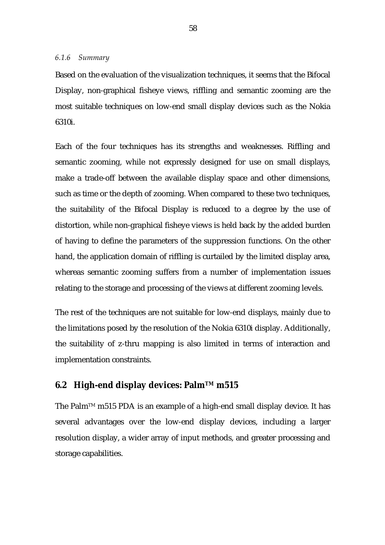Based on the evaluation of the visualization techniques, it seems that the Bifocal Display, non-graphical fisheye views, riffling and semantic zooming are the most suitable techniques on low-end small display devices such as the Nokia 6310i.

Each of the four techniques has its strengths and weaknesses. Riffling and semantic zooming, while not expressly designed for use on small displays, make a trade-off between the available display space and other dimensions, such as time or the depth of zooming. When compared to these two techniques, the suitability of the Bifocal Display is reduced to a degree by the use of distortion, while non-graphical fisheye views is held back by the added burden of having to define the parameters of the suppression functions. On the other hand, the application domain of riffling is curtailed by the limited display area, whereas semantic zooming suffers from a number of implementation issues relating to the storage and processing of the views at different zooming levels.

The rest of the techniques are not suitable for low-end displays, mainly due to the limitations posed by the resolution of the Nokia 6310i display. Additionally, the suitability of z-thru mapping is also limited in terms of interaction and implementation constraints.

# **6.2 High-end display devices: PalmTM m515**

The Palm<sup>TM</sup> m515 PDA is an example of a high-end small display device. It has several advantages over the low-end display devices, including a larger resolution display, a wider array of input methods, and greater processing and storage capabilities.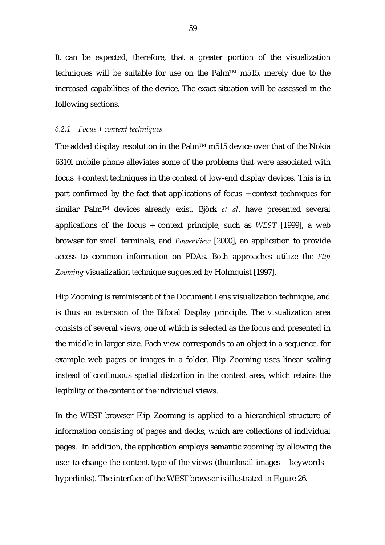It can be expected, therefore, that a greater portion of the visualization techniques will be suitable for use on the Palm<sup>TM</sup> m515, merely due to the increased capabilities of the device. The exact situation will be assessed in the following sections.

### *6.2.1 Focus + context techniques*

The added display resolution in the Palm™ m515 device over that of the Nokia 6310i mobile phone alleviates some of the problems that were associated with focus + context techniques in the context of low-end display devices. This is in part confirmed by the fact that applications of focus + context techniques for similar PalmTM devices already exist. Björk *et al*. have presented several applications of the focus + context principle, such as *WEST* [1999], a web browser for small terminals, and *PowerView* [2000], an application to provide access to common information on PDAs. Both approaches utilize the *Flip Zooming* visualization technique suggested by Holmquist [1997].

Flip Zooming is reminiscent of the Document Lens visualization technique, and is thus an extension of the Bifocal Display principle. The visualization area consists of several views, one of which is selected as the focus and presented in the middle in larger size. Each view corresponds to an object in a sequence, for example web pages or images in a folder. Flip Zooming uses linear scaling instead of continuous spatial distortion in the context area, which retains the legibility of the content of the individual views.

In the WEST browser Flip Zooming is applied to a hierarchical structure of information consisting of pages and decks, which are collections of individual pages. In addition, the application employs semantic zooming by allowing the user to change the content type of the views (thumbnail images – keywords – hyperlinks). The interface of the WEST browser is illustrated in Figure 26.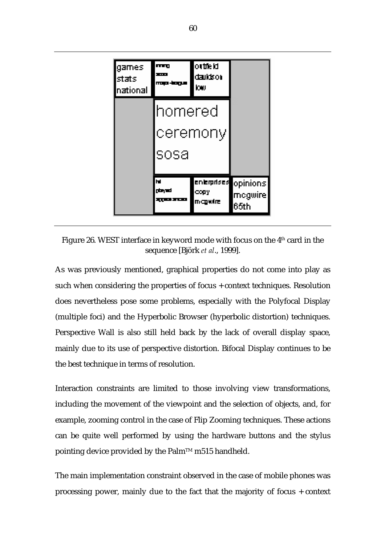

Figure 26. WEST interface in keyword mode with focus on the 4th card in the sequence [Björk *et al*., 1999].

As was previously mentioned, graphical properties do not come into play as such when considering the properties of focus + context techniques. Resolution does nevertheless pose some problems, especially with the Polyfocal Display (multiple foci) and the Hyperbolic Browser (hyperbolic distortion) techniques. Perspective Wall is also still held back by the lack of overall display space, mainly due to its use of perspective distortion. Bifocal Display continues to be the best technique in terms of resolution.

Interaction constraints are limited to those involving view transformations, including the movement of the viewpoint and the selection of objects, and, for example, zooming control in the case of Flip Zooming techniques. These actions can be quite well performed by using the hardware buttons and the stylus pointing device provided by the Palm<sup>™</sup> m515 handheld.

The main implementation constraint observed in the case of mobile phones was processing power, mainly due to the fact that the majority of focus + context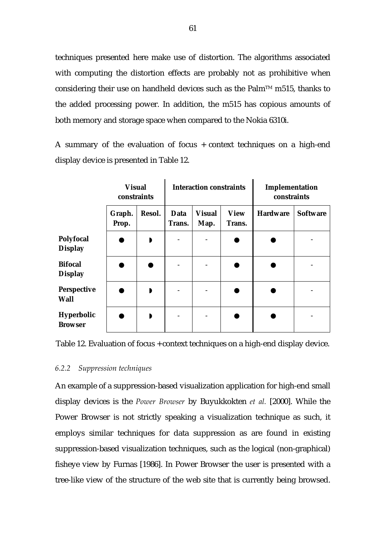techniques presented here make use of distortion. The algorithms associated with computing the distortion effects are probably not as prohibitive when considering their use on handheld devices such as the Palm<sup>TM</sup> m515, thanks to the added processing power. In addition, the m515 has copious amounts of both memory and storage space when compared to the Nokia 6310i.

A summary of the evaluation of focus + context techniques on a high-end display device is presented in Table 12.

|                                    | <b>Visual</b><br>constraints |        | <b>Interaction constraints</b> |                       |                       | Implementation<br>constraints |                 |
|------------------------------------|------------------------------|--------|--------------------------------|-----------------------|-----------------------|-------------------------------|-----------------|
|                                    | Graph.<br>Prop.              | Resol. | <b>Data</b><br>Trans.          | <b>Visual</b><br>Map. | <b>View</b><br>Trans. | <b>Hardware</b>               | <b>Software</b> |
| <b>Polyfocal</b><br><b>Display</b> |                              | D      |                                |                       |                       |                               |                 |
| <b>Bifocal</b><br><b>Display</b>   |                              |        |                                |                       |                       |                               |                 |
| <b>Perspective</b><br><b>Wall</b>  |                              | D      |                                |                       |                       |                               |                 |
| Hyperbolic<br><b>Browser</b>       |                              | D      |                                |                       |                       |                               |                 |

Table 12. Evaluation of focus + context techniques on a high-end display device.

# *6.2.2 Suppression techniques*

An example of a suppression-based visualization application for high-end small display devices is the *Power Browser* by Buyukkokten *et al.* [2000]. While the Power Browser is not strictly speaking a visualization technique as such, it employs similar techniques for data suppression as are found in existing suppression-based visualization techniques, such as the logical (non-graphical) fisheye view by Furnas [1986]. In Power Browser the user is presented with a tree-like view of the structure of the web site that is currently being browsed.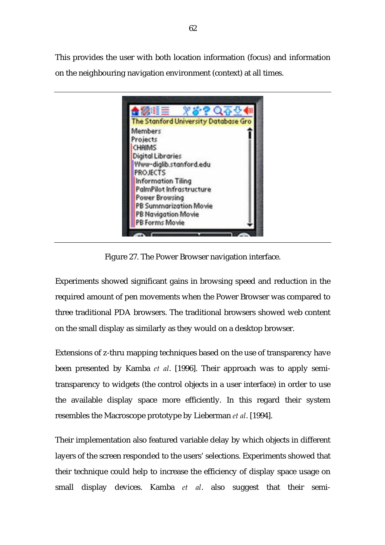This provides the user with both location information (focus) and information on the neighbouring navigation environment (context) at all times.



Figure 27. The Power Browser navigation interface.

Experiments showed significant gains in browsing speed and reduction in the required amount of pen movements when the Power Browser was compared to three traditional PDA browsers. The traditional browsers showed web content on the small display as similarly as they would on a desktop browser.

Extensions of z-thru mapping techniques based on the use of transparency have been presented by Kamba *et al*. [1996]. Their approach was to apply semitransparency to widgets (the control objects in a user interface) in order to use the available display space more efficiently. In this regard their system resembles the Macroscope prototype by Lieberman *et al*. [1994].

Their implementation also featured variable delay by which objects in different layers of the screen responded to the users' selections. Experiments showed that their technique could help to increase the efficiency of display space usage on small display devices. Kamba *et al*. also suggest that their semi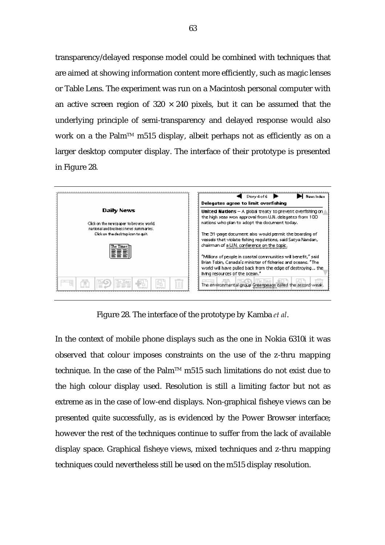transparency/delayed response model could be combined with techniques that are aimed at showing information content more efficiently, such as magic lenses or Table Lens. The experiment was run on a Macintosh personal computer with an active screen region of  $320 \times 240$  pixels, but it can be assumed that the underlying principle of semi-transparency and delayed response would also work on a the Palm<sup>TM</sup> m515 display, albeit perhaps not as efficiently as on a larger desktop computer display. The interface of their prototype is presented in Figure 28.



Figure 28. The interface of the prototype by Kamba *et al*.

In the context of mobile phone displays such as the one in Nokia 6310i it was observed that colour imposes constraints on the use of the z-thru mapping technique. In the case of the Palm™ m515 such limitations do not exist due to the high colour display used. Resolution is still a limiting factor but not as extreme as in the case of low-end displays. Non-graphical fisheye views can be presented quite successfully, as is evidenced by the Power Browser interface; however the rest of the techniques continue to suffer from the lack of available display space. Graphical fisheye views, mixed techniques and z-thru mapping techniques could nevertheless still be used on the m515 display resolution.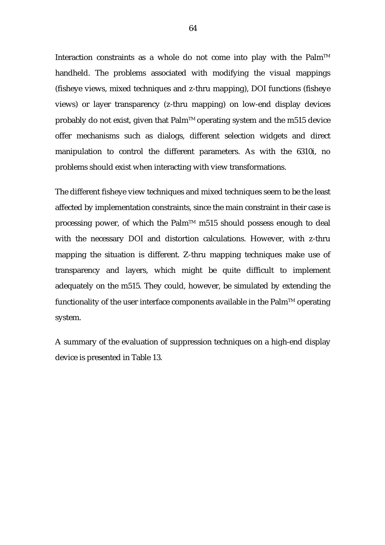Interaction constraints as a whole do not come into play with the Palm<sup>TM</sup> handheld. The problems associated with modifying the visual mappings (fisheye views, mixed techniques and z-thru mapping), DOI functions (fisheye views) or layer transparency (z-thru mapping) on low-end display devices probably do not exist, given that  $Palm^{TM}$  operating system and the m515 device offer mechanisms such as dialogs, different selection widgets and direct manipulation to control the different parameters. As with the 6310i, no problems should exist when interacting with view transformations.

The different fisheye view techniques and mixed techniques seem to be the least affected by implementation constraints, since the main constraint in their case is processing power, of which the Palm<sup> $TM$ </sup> m515 should possess enough to deal with the necessary DOI and distortion calculations. However, with z-thru mapping the situation is different. Z-thru mapping techniques make use of transparency and layers, which might be quite difficult to implement adequately on the m515. They could, however, be simulated by extending the functionality of the user interface components available in the Palm<sup>TM</sup> operating system.

A summary of the evaluation of suppression techniques on a high-end display device is presented in Table 13.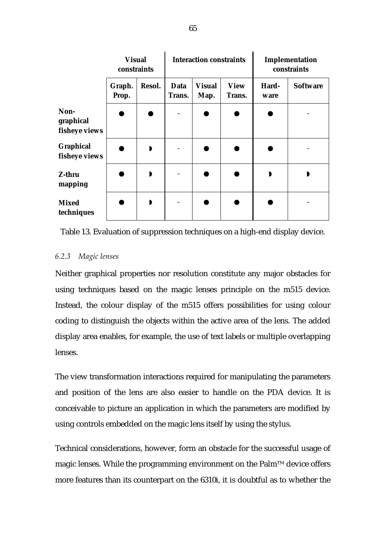|                                    | <b>Visual</b><br>constraints |        | <b>Interaction constraints</b> |                       |                       | Implementation<br>constraints |                 |
|------------------------------------|------------------------------|--------|--------------------------------|-----------------------|-----------------------|-------------------------------|-----------------|
|                                    | Graph.<br>Prop.              | Resol. | Data<br>Trans.                 | <b>Visual</b><br>Map. | <b>View</b><br>Trans. | Hard-<br>ware                 | <b>Software</b> |
| Non-<br>graphical<br>fisheye views |                              |        |                                |                       |                       |                               |                 |
| Graphical<br>fisheye views         |                              | D      |                                |                       |                       |                               |                 |
| Z-thru<br>mapping                  |                              | D      |                                |                       |                       | D                             |                 |
| <b>Mixed</b><br>techniques         |                              |        |                                |                       |                       |                               |                 |

Table 13. Evaluation of suppression techniques on a high-end display device.

# *6.2.3 Magic lenses*

Neither graphical properties nor resolution constitute any major obstacles for using techniques based on the magic lenses principle on the m515 device. Instead, the colour display of the m515 offers possibilities for using colour coding to distinguish the objects within the active area of the lens. The added display area enables, for example, the use of text labels or multiple overlapping lenses.

The view transformation interactions required for manipulating the parameters and position of the lens are also easier to handle on the PDA device. It is conceivable to picture an application in which the parameters are modified by using controls embedded on the magic lens itself by using the stylus.

Technical considerations, however, form an obstacle for the successful usage of magic lenses. While the programming environment on the  $Palm<sup>TM</sup>$  device offers more features than its counterpart on the 6310i, it is doubtful as to whether the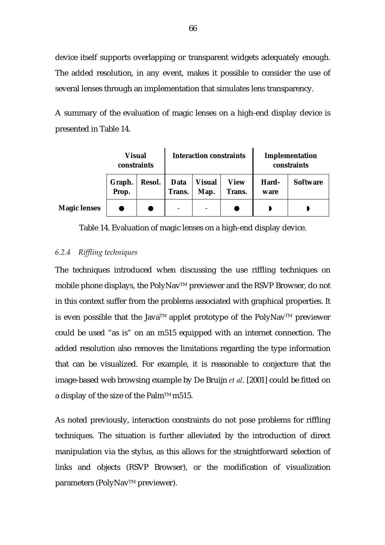device itself supports overlapping or transparent widgets adequately enough. The added resolution, in any event, makes it possible to consider the use of several lenses through an implementation that simulates lens transparency.

A summary of the evaluation of magic lenses on a high-end display device is presented in Table 14.

|                     | <b>Visual</b><br>constraints |        | <b>Interaction constraints</b> |                       |                       | Implementation<br>constraints |                 |
|---------------------|------------------------------|--------|--------------------------------|-----------------------|-----------------------|-------------------------------|-----------------|
|                     | Graph.<br>Prop.              | Resol. | Data<br>Trans.                 | <b>Visual</b><br>Map. | <b>View</b><br>Trans. | Hard-<br>ware                 | <b>Software</b> |
| <b>Magic lenses</b> |                              |        |                                |                       |                       |                               |                 |

# Table 14. Evaluation of magic lenses on a high-end display device.

# *6.2.4 Riffling techniques*

The techniques introduced when discussing the use riffling techniques on mobile phone displays, the PolyNav™ previewer and the RSVP Browser, do not in this context suffer from the problems associated with graphical properties. It is even possible that the Java<sup>TM</sup> applet prototype of the PolyNav<sup>TM</sup> previewer could be used "as is" on an m515 equipped with an internet connection. The added resolution also removes the limitations regarding the type information that can be visualized. For example, it is reasonable to conjecture that the image-based web browsing example by De Bruijn *et al*. [2001] could be fitted on a display of the size of the Palm<sup>TM</sup> m515.

As noted previously, interaction constraints do not pose problems for riffling techniques. The situation is further alleviated by the introduction of direct manipulation via the stylus, as this allows for the straightforward selection of links and objects (RSVP Browser), or the modification of visualization parameters (PolyNav™ previewer).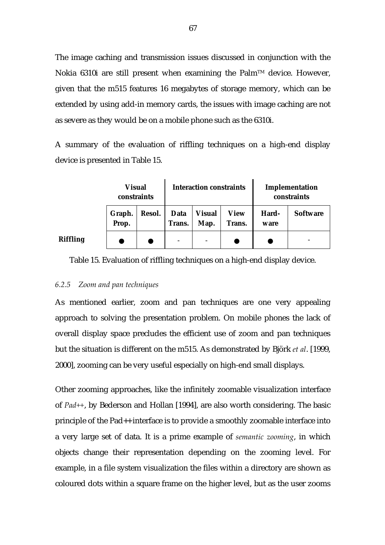The image caching and transmission issues discussed in conjunction with the Nokia 6310i are still present when examining the Palm™ device. However, given that the m515 features 16 megabytes of storage memory, which can be extended by using add-in memory cards, the issues with image caching are not as severe as they would be on a mobile phone such as the 6310i.

A summary of the evaluation of riffling techniques on a high-end display device is presented in Table 15.

|                 | <b>Visual</b><br>constraints |        | <b>Interaction constraints</b> |                          |                       | Implementation<br>constraints |                          |
|-----------------|------------------------------|--------|--------------------------------|--------------------------|-----------------------|-------------------------------|--------------------------|
|                 | Graph.<br>Prop.              | Resol. | Data<br>Trans.                 | <b>Visual</b><br>Map.    | <b>View</b><br>Trans. | Hard-<br>ware                 | <b>Software</b>          |
| <b>Riffling</b> |                              |        |                                | $\overline{\phantom{0}}$ |                       |                               | $\overline{\phantom{0}}$ |

# Table 15. Evaluation of riffling techniques on a high-end display device.

## *6.2.5 Zoom and pan techniques*

As mentioned earlier, zoom and pan techniques are one very appealing approach to solving the presentation problem. On mobile phones the lack of overall display space precludes the efficient use of zoom and pan techniques but the situation is different on the m515. As demonstrated by Björk *et al*. [1999, 2000], zooming can be very useful especially on high-end small displays.

Other zooming approaches, like the infinitely zoomable visualization interface of *Pad++*, by Bederson and Hollan [1994], are also worth considering. The basic principle of the Pad++ interface is to provide a smoothly zoomable interface into a very large set of data. It is a prime example of *semantic zooming*, in which objects change their representation depending on the zooming level. For example, in a file system visualization the files within a directory are shown as coloured dots within a square frame on the higher level, but as the user zooms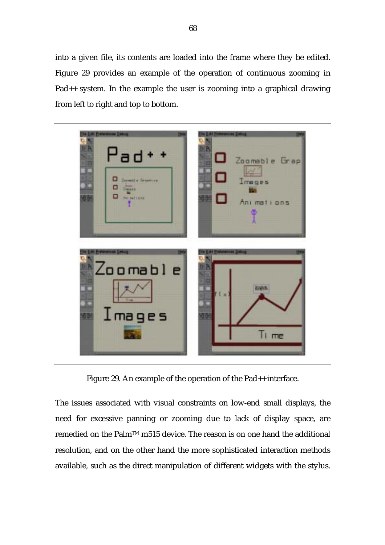into a given file, its contents are loaded into the frame where they be edited. Figure 29 provides an example of the operation of continuous zooming in Pad++ system. In the example the user is zooming into a graphical drawing from left to right and top to bottom.



Figure 29. An example of the operation of the Pad<sub>++</sub> interface.

The issues associated with visual constraints on low-end small displays, the need for excessive panning or zooming due to lack of display space, are remedied on the Palm™ m515 device. The reason is on one hand the additional resolution, and on the other hand the more sophisticated interaction methods available, such as the direct manipulation of different widgets with the stylus.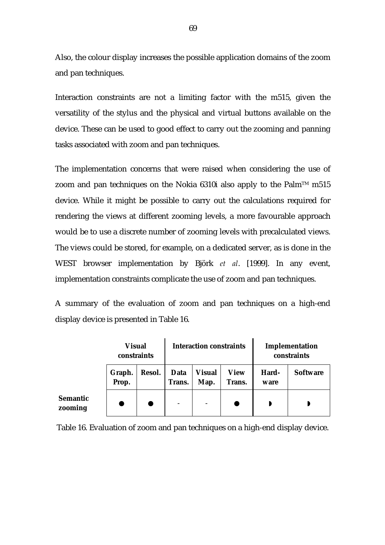Also, the colour display increases the possible application domains of the zoom and pan techniques.

Interaction constraints are not a limiting factor with the m515, given the versatility of the stylus and the physical and virtual buttons available on the device. These can be used to good effect to carry out the zooming and panning tasks associated with zoom and pan techniques.

The implementation concerns that were raised when considering the use of zoom and pan techniques on the Nokia 6310i also apply to the Palm<sup>TM</sup> m515 device. While it might be possible to carry out the calculations required for rendering the views at different zooming levels, a more favourable approach would be to use a discrete number of zooming levels with precalculated views. The views could be stored, for example, on a dedicated server, as is done in the WEST browser implementation by Björk *et al*. [1999]. In any event, implementation constraints complicate the use of zoom and pan techniques.

A summary of the evaluation of zoom and pan techniques on a high-end display device is presented in Table 16.

|                            | <b>Visual</b><br>constraints |        | <b>Interaction constraints</b> |                          |                       | Implementation<br>constraints |                 |
|----------------------------|------------------------------|--------|--------------------------------|--------------------------|-----------------------|-------------------------------|-----------------|
|                            | Graph.<br>Prop.              | Resol. | <b>Data</b><br>Trans.          | <b>Visual</b><br>Map.    | <b>View</b><br>Trans. | Hard-<br>ware                 | <b>Software</b> |
| <b>Semantic</b><br>zooming |                              |        | $\overline{\phantom{0}}$       | $\overline{\phantom{a}}$ |                       |                               |                 |

Table 16. Evaluation of zoom and pan techniques on a high-end display device.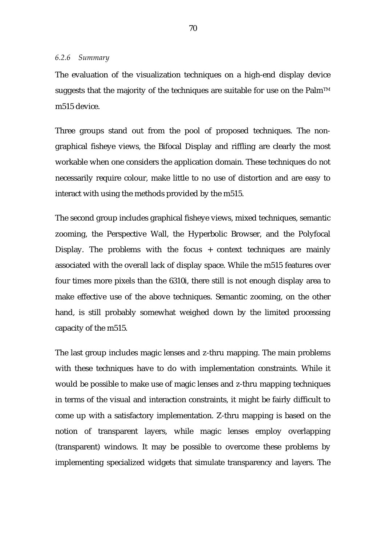## *6.2.6 Summary*

The evaluation of the visualization techniques on a high-end display device suggests that the majority of the techniques are suitable for use on the Palm<sup>TM</sup> m515 device.

Three groups stand out from the pool of proposed techniques. The nongraphical fisheye views, the Bifocal Display and riffling are clearly the most workable when one considers the application domain. These techniques do not necessarily require colour, make little to no use of distortion and are easy to interact with using the methods provided by the m515.

The second group includes graphical fisheye views, mixed techniques, semantic zooming, the Perspective Wall, the Hyperbolic Browser, and the Polyfocal Display. The problems with the focus + context techniques are mainly associated with the overall lack of display space. While the m515 features over four times more pixels than the 6310i, there still is not enough display area to make effective use of the above techniques. Semantic zooming, on the other hand, is still probably somewhat weighed down by the limited processing capacity of the m515.

The last group includes magic lenses and z-thru mapping. The main problems with these techniques have to do with implementation constraints. While it would be possible to make use of magic lenses and z-thru mapping techniques in terms of the visual and interaction constraints, it might be fairly difficult to come up with a satisfactory implementation. Z-thru mapping is based on the notion of transparent layers, while magic lenses employ overlapping (transparent) windows. It may be possible to overcome these problems by implementing specialized widgets that simulate transparency and layers. The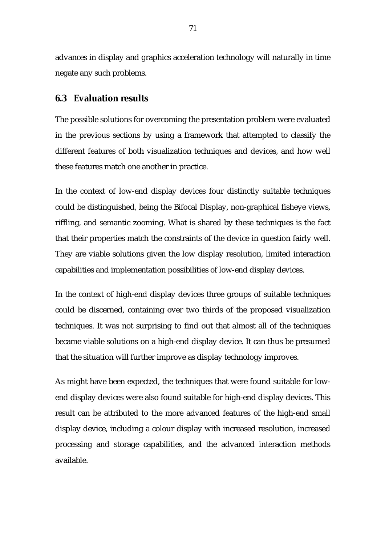advances in display and graphics acceleration technology will naturally in time negate any such problems.

## **6.3 Evaluation results**

The possible solutions for overcoming the presentation problem were evaluated in the previous sections by using a framework that attempted to classify the different features of both visualization techniques and devices, and how well these features match one another in practice.

In the context of low-end display devices four distinctly suitable techniques could be distinguished, being the Bifocal Display, non-graphical fisheye views, riffling, and semantic zooming. What is shared by these techniques is the fact that their properties match the constraints of the device in question fairly well. They are viable solutions given the low display resolution, limited interaction capabilities and implementation possibilities of low-end display devices.

In the context of high-end display devices three groups of suitable techniques could be discerned, containing over two thirds of the proposed visualization techniques. It was not surprising to find out that almost all of the techniques became viable solutions on a high-end display device. It can thus be presumed that the situation will further improve as display technology improves.

As might have been expected, the techniques that were found suitable for lowend display devices were also found suitable for high-end display devices. This result can be attributed to the more advanced features of the high-end small display device, including a colour display with increased resolution, increased processing and storage capabilities, and the advanced interaction methods available.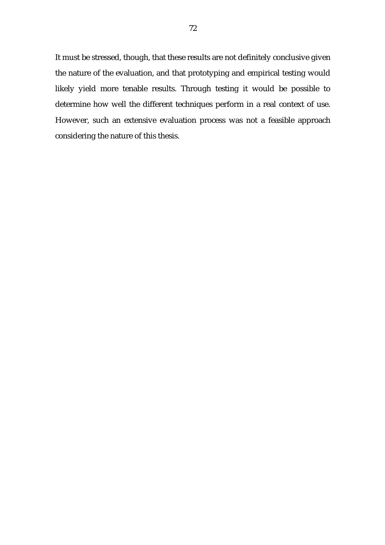It must be stressed, though, that these results are not definitely conclusive given the nature of the evaluation, and that prototyping and empirical testing would likely yield more tenable results. Through testing it would be possible to determine how well the different techniques perform in a real context of use. However, such an extensive evaluation process was not a feasible approach considering the nature of this thesis.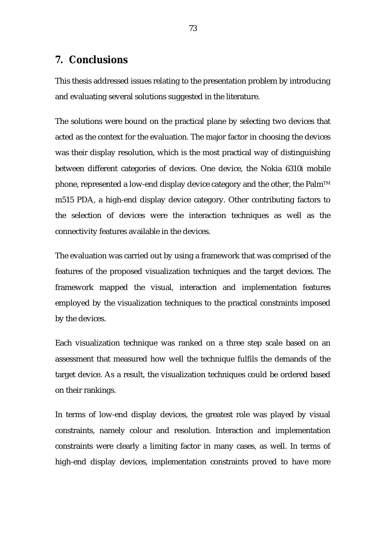## **7. Conclusions**

This thesis addressed issues relating to the presentation problem by introducing and evaluating several solutions suggested in the literature.

The solutions were bound on the practical plane by selecting two devices that acted as the context for the evaluation. The major factor in choosing the devices was their display resolution, which is the most practical way of distinguishing between different categories of devices. One device, the Nokia 6310i mobile phone, represented a low-end display device category and the other, the Palm<sup>TM</sup> m515 PDA, a high-end display device category. Other contributing factors to the selection of devices were the interaction techniques as well as the connectivity features available in the devices.

The evaluation was carried out by using a framework that was comprised of the features of the proposed visualization techniques and the target devices. The framework mapped the visual, interaction and implementation features employed by the visualization techniques to the practical constraints imposed by the devices.

Each visualization technique was ranked on a three step scale based on an assessment that measured how well the technique fulfils the demands of the target device. As a result, the visualization techniques could be ordered based on their rankings.

In terms of low-end display devices, the greatest role was played by visual constraints, namely colour and resolution. Interaction and implementation constraints were clearly a limiting factor in many cases, as well. In terms of high-end display devices, implementation constraints proved to have more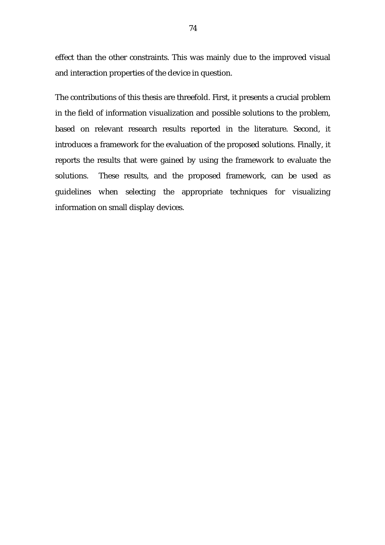effect than the other constraints. This was mainly due to the improved visual and interaction properties of the device in question.

The contributions of this thesis are threefold. First, it presents a crucial problem in the field of information visualization and possible solutions to the problem, based on relevant research results reported in the literature. Second, it introduces a framework for the evaluation of the proposed solutions. Finally, it reports the results that were gained by using the framework to evaluate the solutions. These results, and the proposed framework, can be used as guidelines when selecting the appropriate techniques for visualizing information on small display devices.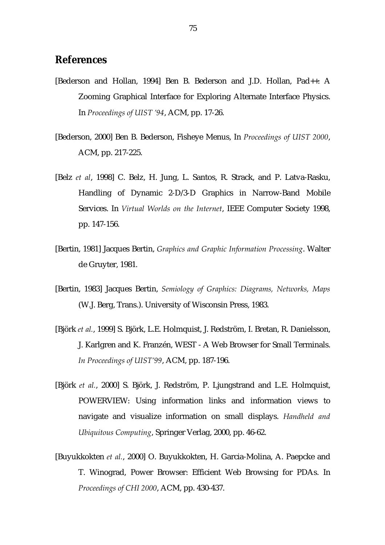## **References**

- [Bederson and Hollan, 1994] Ben B. Bederson and J.D. Hollan, Pad++: A Zooming Graphical Interface for Exploring Alternate Interface Physics. In *Proceedings of UIST í94*, ACM, pp. 17-26.
- [Bederson, 2000] Ben B. Bederson, Fisheye Menus, In *Proceedings of UIST 2000*, ACM, pp. 217-225.
- [Belz *et al*, 1998] C. Belz, H. Jung, L. Santos, R. Strack, and P. Latva-Rasku, Handling of Dynamic 2-D/3-D Graphics in Narrow-Band Mobile Services. In *Virtual Worlds on the Internet*, IEEE Computer Society 1998, pp. 147-156.
- [Bertin, 1981] Jacques Bertin, *Graphics and Graphic Information Processing*. Walter de Gruyter, 1981.
- [Bertin, 1983] Jacques Bertin, *Semiology of Graphics: Diagrams, Networks, Maps*  (W.J. Berg, Trans.). University of Wisconsin Press, 1983.
- [Björk *et al.*, 1999] S. Björk, L.E. Holmquist, J. Redström, I. Bretan, R. Danielsson, J. Karlgren and K. Franzén, WEST - A Web Browser for Small Terminals. In Proceedings of UIST'99, ACM, pp. 187-196.
- [Björk *et al.*, 2000] S. Björk, J. Redström, P. Ljungstrand and L.E. Holmquist, POWERVIEW: Using information links and information views to navigate and visualize information on small displays. *Handheld and Ubiquitous Computing*, Springer Verlag, 2000, pp. 46-62.
- [Buyukkokten *et al.*, 2000] O. Buyukkokten, H. Garcia-Molina, A. Paepcke and T. Winograd, Power Browser: Efficient Web Browsing for PDAs. In *Proceedings of CHI 2000*, ACM, pp. 430-437.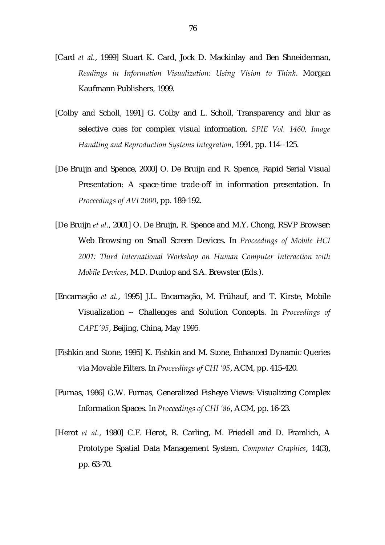- [Card *et al.*, 1999] Stuart K. Card, Jock D. Mackinlay and Ben Shneiderman, *Readings in Information Visualization: Using Vision to Think*. Morgan Kaufmann Publishers, 1999.
- [Colby and Scholl, 1991] G. Colby and L. Scholl, Transparency and blur as selective cues for complex visual information. *SPIE Vol. 1460, Image Handling and Reproduction Systems Integration*, 1991, pp. 114--125.
- [De Bruijn and Spence, 2000] O. De Bruijn and R. Spence, Rapid Serial Visual Presentation: A space-time trade-off in information presentation. In *Proceedings of AVI 2000*, pp. 189-192.
- [De Bruijn *et al*., 2001] O. De Bruijn, R. Spence and M.Y. Chong, RSVP Browser: Web Browsing on Small Screen Devices. In *Proceedings of Mobile HCI 2001: Third International Workshop on Human Computer Interaction with Mobile Devices*, M.D. Dunlop and S.A. Brewster (Eds.).
- [Encarnação *et al.*, 1995] J.L. Encarnação, M. Frühauf, and T. Kirste, Mobile Visualization -- Challenges and Solution Concepts. In *Proceedings of CAPEʹ95*, Beijing, China, May 1995.
- [Fishkin and Stone, 1995] K. Fishkin and M. Stone, Enhanced Dynamic Queries via Movable Filters. In *Proceedings of CHI í95*, ACM, pp. 415-420.
- [Furnas, 1986] G.W. Furnas, Generalized Fisheye Views: Visualizing Complex Information Spaces. In *Proceedings of CHI í86*, ACM, pp. 16-23.
- [Herot *et al.*, 1980] C.F. Herot, R. Carling, M. Friedell and D. Framlich, A Prototype Spatial Data Management System. *Computer Graphics*, 14(3), pp. 63-70.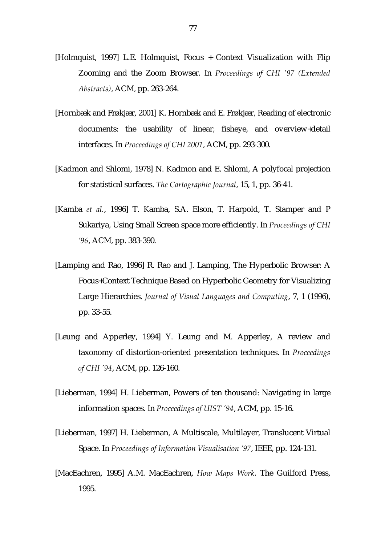- [Holmquist, 1997] L.E. Holmquist, Focus + Context Visualization with Flip Zooming and the Zoom Browser. In *Proceedings of CHI ʹ97 (Extended Abstracts)*, ACM, pp. 263-264.
- [Hornbæk and Frøkjær, 2001] K. Hornbæk and E. Frøkjær, Reading of electronic documents: the usability of linear, fisheye, and overview+detail interfaces. In *Proceedings of CHI 2001*, ACM, pp. 293-300.
- [Kadmon and Shlomi, 1978] N. Kadmon and E. Shlomi, A polyfocal projection for statistical surfaces. *The Cartographic Journal*, 15, 1, pp. 36-41.
- [Kamba *et al.*, 1996] T. Kamba, S.A. Elson, T. Harpold, T. Stamper and P Sukariya, Using Small Screen space more efficiently. In *Proceedings of CHI í96*, ACM, pp. 383-390.
- [Lamping and Rao, 1996] R. Rao and J. Lamping, The Hyperbolic Browser: A Focus+Context Technique Based on Hyperbolic Geometry for Visualizing Large Hierarchies. *Journal of Visual Languages and Computing*, 7, 1 (1996), pp. 33-55.
- [Leung and Apperley, 1994] Y. Leung and M. Apperley, A review and taxonomy of distortion-oriented presentation techniques. In *Proceedings of CHI ʹ94*, ACM, pp. 126-160.
- [Lieberman, 1994] H. Lieberman, Powers of ten thousand: Navigating in large information spaces. In *Proceedings of UIST ʹ94*, ACM, pp. 15-16.
- [Lieberman, 1997] H. Lieberman, A Multiscale, Multilayer, Translucent Virtual Space. In *Proceedings of Information Visualisation í97*, IEEE, pp. 124-131.
- [MacEachren, 1995] A.M. MacEachren, *How Maps Work*. The Guilford Press, 1995.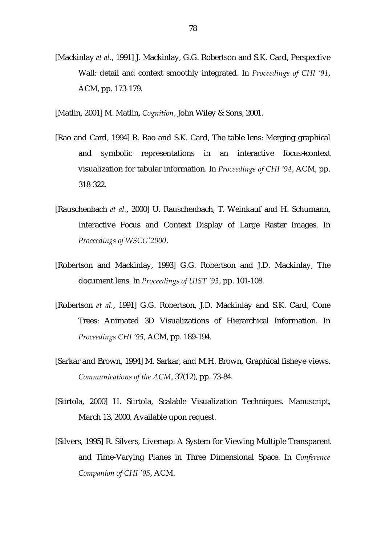[Mackinlay *et al.*, 1991] J. Mackinlay, G.G. Robertson and S.K. Card, Perspective Wall: detail and context smoothly integrated. In *Proceedings of CHI í91*, ACM, pp. 173-179.

[Matlin, 2001] M. Matlin, *Cognition*, John Wiley & Sons, 2001.

- [Rao and Card, 1994] R. Rao and S.K. Card, The table lens: Merging graphical and symbolic representations in an interactive focus+context visualization for tabular information. In *Proceedings of CHI ë94*, ACM, pp. 318-322.
- [Rauschenbach *et al.*, 2000] U. Rauschenbach, T. Weinkauf and H. Schumann, Interactive Focus and Context Display of Large Raster Images. In *Proceedings of WSCGʹ2000*.
- [Robertson and Mackinlay, 1993] G.G. Robertson and J.D. Mackinlay, The document lens. In *Proceedings of UIST ʹ93*, pp. 101-108.
- [Robertson *et al.*, 1991] G.G. Robertson, J.D. Mackinlay and S.K. Card, Cone Trees: Animated 3D Visualizations of Hierarchical Information. In *Proceedings CHI í95*, ACM, pp. 189-194.
- [Sarkar and Brown, 1994] M. Sarkar, and M.H. Brown, Graphical fisheye views. *Communications of the ACM*, 37(12), pp. 73-84.
- [Siirtola, 2000] H. Siirtola, Scalable Visualization Techniques. Manuscript, March 13, 2000. Available upon request.
- [Silvers, 1995] R. Silvers, Livemap: A System for Viewing Multiple Transparent and Time-Varying Planes in Three Dimensional Space. In *Conference Companion of CHI ʹ95*, ACM.